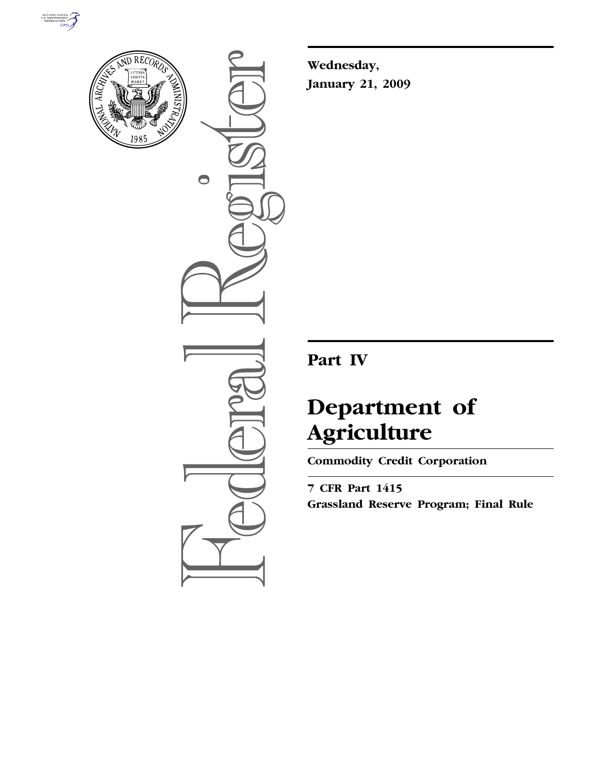



 $\bullet$ 

**Wednesday, January 21, 2009** 

**Part IV** 

# **Department of Agriculture**

**Commodity Credit Corporation** 

**7 CFR Part 1415 Grassland Reserve Program; Final Rule**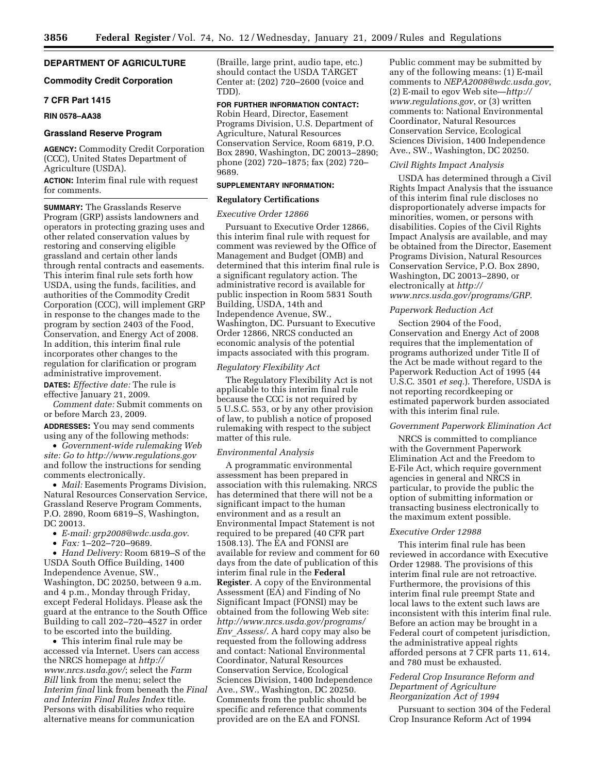# **DEPARTMENT OF AGRICULTURE**

# **Commodity Credit Corporation**

# **7 CFR Part 1415**

# **RIN 0578–AA38**

## **Grassland Reserve Program**

**AGENCY:** Commodity Credit Corporation (CCC), United States Department of Agriculture (USDA).

**ACTION:** Interim final rule with request for comments.

**SUMMARY:** The Grasslands Reserve Program (GRP) assists landowners and operators in protecting grazing uses and other related conservation values by restoring and conserving eligible grassland and certain other lands through rental contracts and easements. This interim final rule sets forth how USDA, using the funds, facilities, and authorities of the Commodity Credit Corporation (CCC), will implement GRP in response to the changes made to the program by section 2403 of the Food, Conservation, and Energy Act of 2008. In addition, this interim final rule incorporates other changes to the regulation for clarification or program administrative improvement.

**DATES:** *Effective date:* The rule is effective January 21, 2009.

*Comment date:* Submit comments on or before March 23, 2009.

**ADDRESSES:** You may send comments using any of the following methods:

• *Government-wide rulemaking Web site: Go to http://www.regulations.gov*  and follow the instructions for sending comments electronically.

• *Mail:* Easements Programs Division, Natural Resources Conservation Service, Grassland Reserve Program Comments, P.O. 2890, Room 6819–S, Washington, DC 20013.

• *E-mail: grp2008@wdc.usda.gov*.

• *Fax:* 1–202–720–9689.

• *Hand Delivery:* Room 6819–S of the USDA South Office Building, 1400 Independence Avenue, SW., Washington, DC 20250, between 9 a.m. and 4 p.m., Monday through Friday, except Federal Holidays. Please ask the guard at the entrance to the South Office Building to call 202–720–4527 in order to be escorted into the building.

• This interim final rule may be accessed via Internet. Users can access the NRCS homepage at *http:// www.nrcs.usda.gov/*; select the *Farm Bill* link from the menu; select the *Interim final* link from beneath the *Final and Interim Final Rules Index* title. Persons with disabilities who require alternative means for communication

(Braille, large print, audio tape, etc.) should contact the USDA TARGET Center at: (202) 720–2600 (voice and TDD).

**FOR FURTHER INFORMATION CONTACT:** 

Robin Heard, Director, Easement Programs Division, U.S. Department of Agriculture, Natural Resources Conservation Service, Room 6819, P.O. Box 2890, Washington, DC 20013–2890; phone (202) 720–1875; fax (202) 720– 9689.

## **SUPPLEMENTARY INFORMATION:**

## **Regulatory Certifications**

#### *Executive Order 12866*

Pursuant to Executive Order 12866, this interim final rule with request for comment was reviewed by the Office of Management and Budget (OMB) and determined that this interim final rule is a significant regulatory action. The administrative record is available for public inspection in Room 5831 South Building, USDA, 14th and Independence Avenue, SW., Washington, DC. Pursuant to Executive Order 12866, NRCS conducted an economic analysis of the potential impacts associated with this program.

## *Regulatory Flexibility Act*

The Regulatory Flexibility Act is not applicable to this interim final rule because the CCC is not required by 5 U.S.C. 553, or by any other provision of law, to publish a notice of proposed rulemaking with respect to the subject matter of this rule.

## *Environmental Analysis*

A programmatic environmental assessment has been prepared in association with this rulemaking. NRCS has determined that there will not be a significant impact to the human environment and as a result an Environmental Impact Statement is not required to be prepared (40 CFR part 1508.13). The EA and FONSI are available for review and comment for 60 days from the date of publication of this interim final rule in the **Federal Register**. A copy of the Environmental Assessment (EA) and Finding of No Significant Impact (FONSI) may be obtained from the following Web site: *http://www.nrcs.usda.gov/programs/ Env*\_*Assess/*. A hard copy may also be requested from the following address and contact: National Environmental Coordinator, Natural Resources Conservation Service, Ecological Sciences Division, 1400 Independence Ave., SW., Washington, DC 20250. Comments from the public should be specific and reference that comments provided are on the EA and FONSI.

Public comment may be submitted by any of the following means: (1) E-mail comments to *NEPA2008@wdc.usda.gov*, (2) E-mail to egov Web site—*http:// www.regulations.gov*, or (3) written comments to: National Environmental Coordinator, Natural Resources Conservation Service, Ecological Sciences Division, 1400 Independence Ave., SW., Washington, DC 20250.

## *Civil Rights Impact Analysis*

USDA has determined through a Civil Rights Impact Analysis that the issuance of this interim final rule discloses no disproportionately adverse impacts for minorities, women, or persons with disabilities. Copies of the Civil Rights Impact Analysis are available, and may be obtained from the Director, Easement Programs Division, Natural Resources Conservation Service, P.O. Box 2890, Washington, DC 20013–2890, or electronically at *http:// www.nrcs.usda.gov/programs/GRP*.

## *Paperwork Reduction Act*

Section 2904 of the Food, Conservation and Energy Act of 2008 requires that the implementation of programs authorized under Title II of the Act be made without regard to the Paperwork Reduction Act of 1995 (44 U.S.C. 3501 *et seq.*). Therefore, USDA is not reporting recordkeeping or estimated paperwork burden associated with this interim final rule.

## *Government Paperwork Elimination Act*

NRCS is committed to compliance with the Government Paperwork Elimination Act and the Freedom to E-File Act, which require government agencies in general and NRCS in particular, to provide the public the option of submitting information or transacting business electronically to the maximum extent possible.

#### *Executive Order 12988*

This interim final rule has been reviewed in accordance with Executive Order 12988. The provisions of this interim final rule are not retroactive. Furthermore, the provisions of this interim final rule preempt State and local laws to the extent such laws are inconsistent with this interim final rule. Before an action may be brought in a Federal court of competent jurisdiction, the administrative appeal rights afforded persons at 7 CFR parts 11, 614, and 780 must be exhausted.

# *Federal Crop Insurance Reform and Department of Agriculture Reorganization Act of 1994*

Pursuant to section 304 of the Federal Crop Insurance Reform Act of 1994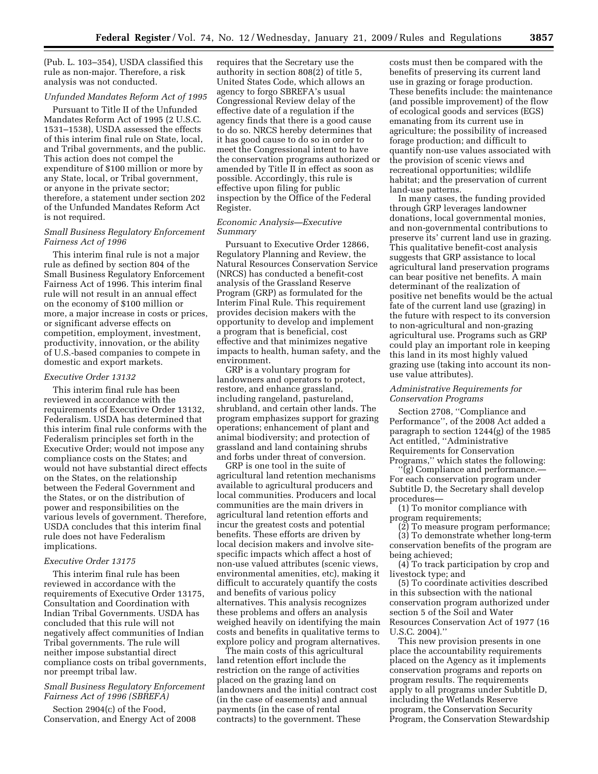(Pub. L. 103–354), USDA classified this rule as non-major. Therefore, a risk analysis was not conducted.

## *Unfunded Mandates Reform Act of 1995*

Pursuant to Title II of the Unfunded Mandates Reform Act of 1995 (2 U.S.C. 1531–1538), USDA assessed the effects of this interim final rule on State, local, and Tribal governments, and the public. This action does not compel the expenditure of \$100 million or more by any State, local, or Tribal government, or anyone in the private sector; therefore, a statement under section 202 of the Unfunded Mandates Reform Act is not required.

## *Small Business Regulatory Enforcement Fairness Act of 1996*

This interim final rule is not a major rule as defined by section 804 of the Small Business Regulatory Enforcement Fairness Act of 1996. This interim final rule will not result in an annual effect on the economy of \$100 million or more, a major increase in costs or prices, or significant adverse effects on competition, employment, investment, productivity, innovation, or the ability of U.S.-based companies to compete in domestic and export markets.

## *Executive Order 13132*

This interim final rule has been reviewed in accordance with the requirements of Executive Order 13132, Federalism. USDA has determined that this interim final rule conforms with the Federalism principles set forth in the Executive Order; would not impose any compliance costs on the States; and would not have substantial direct effects on the States, on the relationship between the Federal Government and the States, or on the distribution of power and responsibilities on the various levels of government. Therefore, USDA concludes that this interim final rule does not have Federalism implications.

#### *Executive Order 13175*

This interim final rule has been reviewed in accordance with the requirements of Executive Order 13175, Consultation and Coordination with Indian Tribal Governments. USDA has concluded that this rule will not negatively affect communities of Indian Tribal governments. The rule will neither impose substantial direct compliance costs on tribal governments, nor preempt tribal law.

# *Small Business Regulatory Enforcement Fairness Act of 1996 (SBREFA)*

Section 2904(c) of the Food, Conservation, and Energy Act of 2008 requires that the Secretary use the authority in section 808(2) of title 5, United States Code, which allows an agency to forgo SBREFA's usual Congressional Review delay of the effective date of a regulation if the agency finds that there is a good cause to do so. NRCS hereby determines that it has good cause to do so in order to meet the Congressional intent to have the conservation programs authorized or amended by Title II in effect as soon as possible. Accordingly, this rule is effective upon filing for public inspection by the Office of the Federal Register.

# *Economic Analysis—Executive Summary*

Pursuant to Executive Order 12866, Regulatory Planning and Review, the Natural Resources Conservation Service (NRCS) has conducted a benefit-cost analysis of the Grassland Reserve Program (GRP) as formulated for the Interim Final Rule. This requirement provides decision makers with the opportunity to develop and implement a program that is beneficial, cost effective and that minimizes negative impacts to health, human safety, and the environment.

GRP is a voluntary program for landowners and operators to protect, restore, and enhance grassland, including rangeland, pastureland, shrubland, and certain other lands. The program emphasizes support for grazing operations; enhancement of plant and animal biodiversity; and protection of grassland and land containing shrubs and forbs under threat of conversion.

GRP is one tool in the suite of agricultural land retention mechanisms available to agricultural producers and local communities. Producers and local communities are the main drivers in agricultural land retention efforts and incur the greatest costs and potential benefits. These efforts are driven by local decision makers and involve sitespecific impacts which affect a host of non-use valued attributes (scenic views, environmental amenities, etc), making it difficult to accurately quantify the costs and benefits of various policy alternatives. This analysis recognizes these problems and offers an analysis weighed heavily on identifying the main costs and benefits in qualitative terms to explore policy and program alternatives.

The main costs of this agricultural land retention effort include the restriction on the range of activities placed on the grazing land on landowners and the initial contract cost (in the case of easements) and annual payments (in the case of rental contracts) to the government. These

costs must then be compared with the benefits of preserving its current land use in grazing or forage production. These benefits include: the maintenance (and possible improvement) of the flow of ecological goods and services (EGS) emanating from its current use in agriculture; the possibility of increased forage production; and difficult to quantify non-use values associated with the provision of scenic views and recreational opportunities; wildlife habitat; and the preservation of current land-use patterns.

In many cases, the funding provided through GRP leverages landowner donations, local governmental monies, and non-governmental contributions to preserve its' current land use in grazing. This qualitative benefit-cost analysis suggests that GRP assistance to local agricultural land preservation programs can bear positive net benefits. A main determinant of the realization of positive net benefits would be the actual fate of the current land use (grazing) in the future with respect to its conversion to non-agricultural and non-grazing agricultural use. Programs such as GRP could play an important role in keeping this land in its most highly valued grazing use (taking into account its nonuse value attributes).

## *Administrative Requirements for Conservation Programs*

Section 2708, ''Compliance and Performance'', of the 2008 Act added a paragraph to section 1244(g) of the 1985 Act entitled, ''Administrative Requirements for Conservation Programs,'' which states the following:

'(g) Compliance and performance.— For each conservation program under Subtitle D, the Secretary shall develop procedures—

(1) To monitor compliance with program requirements;

(2) To measure program performance; (3) To demonstrate whether long-term conservation benefits of the program are being achieved;

(4) To track participation by crop and livestock type; and

(5) To coordinate activities described in this subsection with the national conservation program authorized under section 5 of the Soil and Water Resources Conservation Act of 1977 (16 U.S.C. 2004).''

This new provision presents in one place the accountability requirements placed on the Agency as it implements conservation programs and reports on program results. The requirements apply to all programs under Subtitle D, including the Wetlands Reserve program, the Conservation Security Program, the Conservation Stewardship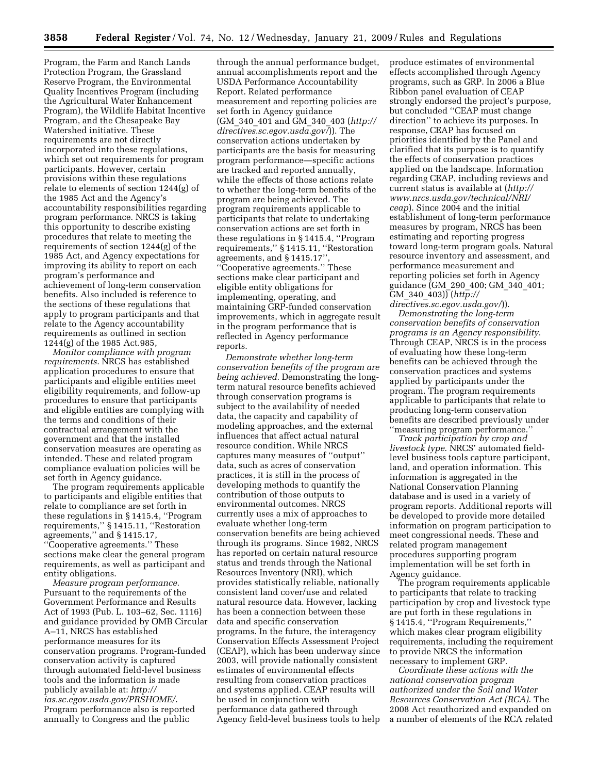Program, the Farm and Ranch Lands Protection Program, the Grassland Reserve Program, the Environmental Quality Incentives Program (including the Agricultural Water Enhancement Program), the Wildlife Habitat Incentive Program, and the Chesapeake Bay Watershed initiative. These requirements are not directly incorporated into these regulations, which set out requirements for program participants. However, certain provisions within these regulations relate to elements of section 1244(g) of the 1985 Act and the Agency's accountability responsibilities regarding program performance. NRCS is taking this opportunity to describe existing procedures that relate to meeting the requirements of section 1244(g) of the 1985 Act, and Agency expectations for improving its ability to report on each program's performance and achievement of long-term conservation benefits. Also included is reference to the sections of these regulations that apply to program participants and that relate to the Agency accountability requirements as outlined in section 1244(g) of the 1985 Act.985,

*Monitor compliance with program requirements.* NRCS has established application procedures to ensure that participants and eligible entities meet eligibility requirements, and follow-up procedures to ensure that participants and eligible entities are complying with the terms and conditions of their contractual arrangement with the government and that the installed conservation measures are operating as intended. These and related program compliance evaluation policies will be set forth in Agency guidance.

The program requirements applicable to participants and eligible entities that relate to compliance are set forth in these regulations in § 1415.4, ''Program requirements,'' § 1415.11, ''Restoration agreements,'' and § 1415.17, ''Cooperative agreements.'' These sections make clear the general program requirements, as well as participant and entity obligations.

*Measure program performance*. Pursuant to the requirements of the Government Performance and Results Act of 1993 (Pub. L. 103–62, Sec. 1116) and guidance provided by OMB Circular A–11, NRCS has established performance measures for its conservation programs. Program-funded conservation activity is captured through automated field-level business tools and the information is made publicly available at: *http:// ias.sc.egov.usda.gov/PRSHOME/*. Program performance also is reported annually to Congress and the public

through the annual performance budget, annual accomplishments report and the USDA Performance Accountability Report. Related performance measurement and reporting policies are set forth in Agency guidance (GM\_340\_401 and GM\_340\_403 (*http:// directives.sc.egov.usda.gov/*)). The conservation actions undertaken by participants are the basis for measuring program performance—specific actions are tracked and reported annually, while the effects of those actions relate to whether the long-term benefits of the program are being achieved. The program requirements applicable to participants that relate to undertaking conservation actions are set forth in these regulations in § 1415.4, ''Program requirements,'' § 1415.11, ''Restoration agreements, and §1415.17' ''Cooperative agreements.'' These sections make clear participant and eligible entity obligations for implementing, operating, and maintaining GRP-funded conservation improvements, which in aggregate result in the program performance that is reflected in Agency performance reports.

*Demonstrate whether long-term conservation benefits of the program are being achieved*. Demonstrating the longterm natural resource benefits achieved through conservation programs is subject to the availability of needed data, the capacity and capability of modeling approaches, and the external influences that affect actual natural resource condition. While NRCS captures many measures of ''output'' data, such as acres of conservation practices, it is still in the process of developing methods to quantify the contribution of those outputs to environmental outcomes. NRCS currently uses a mix of approaches to evaluate whether long-term conservation benefits are being achieved through its programs. Since 1982, NRCS has reported on certain natural resource status and trends through the National Resources Inventory (NRI), which provides statistically reliable, nationally consistent land cover/use and related natural resource data. However, lacking has been a connection between these data and specific conservation programs. In the future, the interagency Conservation Effects Assessment Project (CEAP), which has been underway since 2003, will provide nationally consistent estimates of environmental effects resulting from conservation practices and systems applied. CEAP results will be used in conjunction with performance data gathered through Agency field-level business tools to help produce estimates of environmental effects accomplished through Agency programs, such as GRP. In 2006 a Blue Ribbon panel evaluation of CEAP strongly endorsed the project's purpose, but concluded ''CEAP must change direction'' to achieve its purposes. In response, CEAP has focused on priorities identified by the Panel and clarified that its purpose is to quantify the effects of conservation practices applied on the landscape. Information regarding CEAP, including reviews and current status is available at (*http:// www.nrcs.usda.gov/technical/NRI/ ceap*). Since 2004 and the initial establishment of long-term performance measures by program, NRCS has been estimating and reporting progress toward long-term program goals. Natural resource inventory and assessment, and performance measurement and reporting policies set forth in Agency guidance (GM\_290\_400; GM\_340\_401; GM\_340\_403)) (*http:// directives.sc.egov.usda.gov/*)).

*Demonstrating the long-term conservation benefits of conservation programs is an Agency responsibility*. Through CEAP, NRCS is in the process of evaluating how these long-term benefits can be achieved through the conservation practices and systems applied by participants under the program. The program requirements applicable to participants that relate to producing long-term conservation benefits are described previously under ''measuring program performance.''

*Track participation by crop and livestock type*. NRCS' automated fieldlevel business tools capture participant, land, and operation information. This information is aggregated in the National Conservation Planning database and is used in a variety of program reports. Additional reports will be developed to provide more detailed information on program participation to meet congressional needs. These and related program management procedures supporting program implementation will be set forth in Agency guidance.

The program requirements applicable to participants that relate to tracking participation by crop and livestock type are put forth in these regulations in § 1415.4, "Program Requirements," which makes clear program eligibility requirements, including the requirement to provide NRCS the information necessary to implement GRP.

*Coordinate these actions with the national conservation program authorized under the Soil and Water Resources Conservation Act (RCA)*. The 2008 Act reauthorized and expanded on a number of elements of the RCA related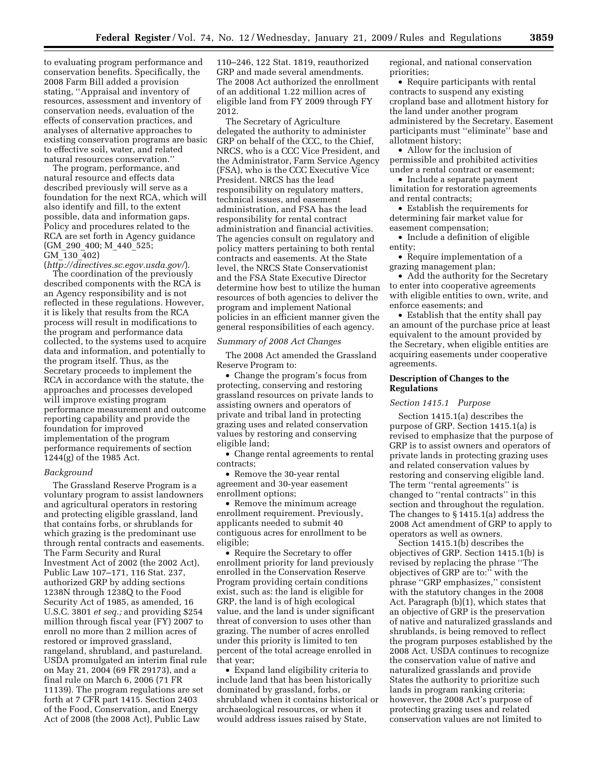to evaluating program performance and conservation benefits. Specifically, the 2008 Farm Bill added a provision stating, ''Appraisal and inventory of resources, assessment and inventory of conservation needs, evaluation of the effects of conservation practices, and analyses of alternative approaches to existing conservation programs are basic to effective soil, water, and related natural resources conservation.''

The program, performance, and natural resource and effects data described previously will serve as a foundation for the next RCA, which will also identify and fill, to the extent possible, data and information gaps. Policy and procedures related to the RCA are set forth in Agency guidance (GM\_290\_400; M\_440\_525; GM\_130\_402)

(*http://directives.sc.egov.usda.gov/*). The coordination of the previously described components with the RCA is an Agency responsibility and is not reflected in these regulations. However, it is likely that results from the RCA process will result in modifications to the program and performance data collected, to the systems used to acquire data and information, and potentially to the program itself. Thus, as the Secretary proceeds to implement the RCA in accordance with the statute, the approaches and processes developed will improve existing program performance measurement and outcome reporting capability and provide the foundation for improved implementation of the program performance requirements of section 1244(g) of the 1985 Act.

#### *Background*

The Grassland Reserve Program is a voluntary program to assist landowners and agricultural operators in restoring and protecting eligible grassland, land that contains forbs, or shrublands for which grazing is the predominant use through rental contracts and easements. The Farm Security and Rural Investment Act of 2002 (the 2002 Act), Public Law 107–171, 116 Stat. 237, authorized GRP by adding sections 1238N through 1238Q to the Food Security Act of 1985, as amended, 16 U.S.C. 3801 *et seq.;* and providing \$254 million through fiscal year (FY) 2007 to enroll no more than 2 million acres of restored or improved grassland, rangeland, shrubland, and pastureland. USDA promulgated an interim final rule on May 21, 2004 (69 FR 29173), and a final rule on March 6, 2006 (71 FR 11139). The program regulations are set forth at 7 CFR part 1415. Section 2403 of the Food, Conservation, and Energy Act of 2008 (the 2008 Act), Public Law

110–246, 122 Stat. 1819, reauthorized GRP and made several amendments. The 2008 Act authorized the enrollment of an additional 1.22 million acres of eligible land from FY 2009 through FY 2012.

The Secretary of Agriculture delegated the authority to administer GRP on behalf of the CCC, to the Chief, NRCS, who is a CCC Vice President, and the Administrator, Farm Service Agency (FSA), who is the CCC Executive Vice President. NRCS has the lead responsibility on regulatory matters, technical issues, and easement administration, and FSA has the lead responsibility for rental contract administration and financial activities. The agencies consult on regulatory and policy matters pertaining to both rental contracts and easements. At the State level, the NRCS State Conservationist and the FSA State Executive Director determine how best to utilize the human resources of both agencies to deliver the program and implement National policies in an efficient manner given the general responsibilities of each agency.

#### *Summary of 2008 Act Changes*

The 2008 Act amended the Grassland Reserve Program to:

• Change the program's focus from protecting, conserving and restoring grassland resources on private lands to assisting owners and operators of private and tribal land in protecting grazing uses and related conservation values by restoring and conserving eligible land;

• Change rental agreements to rental contracts;

• Remove the 30-year rental agreement and 30-year easement enrollment options;

• Remove the minimum acreage enrollment requirement. Previously, applicants needed to submit 40 contiguous acres for enrollment to be eligible;

• Require the Secretary to offer enrollment priority for land previously enrolled in the Conservation Reserve Program providing certain conditions exist, such as: the land is eligible for GRP, the land is of high ecological value, and the land is under significant threat of conversion to uses other than grazing. The number of acres enrolled under this priority is limited to ten percent of the total acreage enrolled in that year;

• Expand land eligibility criteria to include land that has been historically dominated by grassland, forbs, or shrubland when it contains historical or archaeological resources, or when it would address issues raised by State,

regional, and national conservation priorities;

• Require participants with rental contracts to suspend any existing cropland base and allotment history for the land under another program administered by the Secretary. Easement participants must ''eliminate'' base and allotment history;

• Allow for the inclusion of permissible and prohibited activities under a rental contract or easement;

• Include a separate payment limitation for restoration agreements and rental contracts;

• Establish the requirements for determining fair market value for easement compensation;

• Include a definition of eligible entity;

• Require implementation of a grazing management plan;

• Add the authority for the Secretary to enter into cooperative agreements with eligible entities to own, write, and enforce easements; and

• Establish that the entity shall pay an amount of the purchase price at least equivalent to the amount provided by the Secretary, when eligible entities are acquiring easements under cooperative agreements.

# **Description of Changes to the Regulations**

## *Section 1415.1 Purpose*

Section 1415.1(a) describes the purpose of GRP. Section 1415.1(a) is revised to emphasize that the purpose of GRP is to assist owners and operators of private lands in protecting grazing uses and related conservation values by restoring and conserving eligible land. The term "rental agreements" is changed to ''rental contracts'' in this section and throughout the regulation. The changes to § 1415.1(a) address the 2008 Act amendment of GRP to apply to operators as well as owners.

Section 1415.1(b) describes the objectives of GRP. Section 1415.1(b) is revised by replacing the phrase ''The objectives of GRP are to:'' with the phrase ''GRP emphasizes,'' consistent with the statutory changes in the 2008 Act. Paragraph (b)(1), which states that an objective of GRP is the preservation of native and naturalized grasslands and shrublands, is being removed to reflect the program purposes established by the 2008 Act. USDA continues to recognize the conservation value of native and naturalized grasslands and provide States the authority to prioritize such lands in program ranking criteria; however, the 2008 Act's purpose of protecting grazing uses and related conservation values are not limited to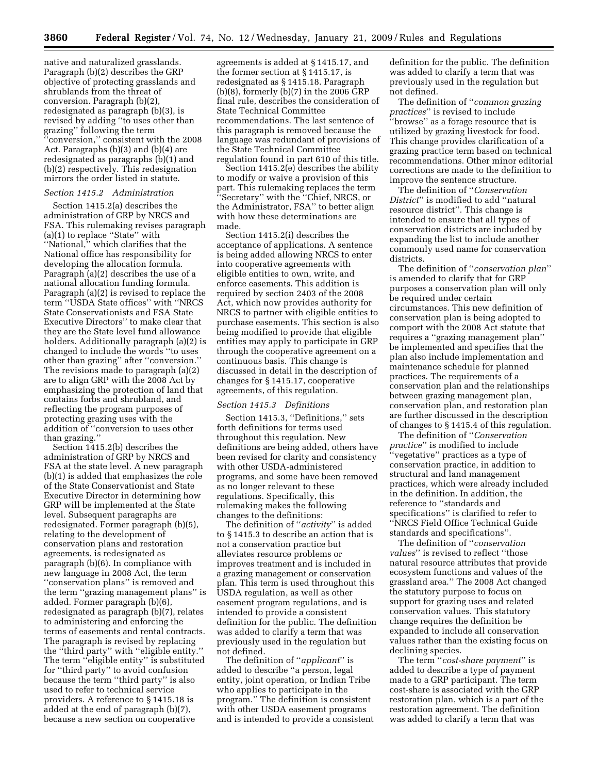native and naturalized grasslands. Paragraph (b)(2) describes the GRP objective of protecting grasslands and shrublands from the threat of conversion. Paragraph (b)(2), redesignated as paragraph (b)(3), is revised by adding ''to uses other than grazing'' following the term ''conversion,'' consistent with the 2008 Act. Paragraphs (b)(3) and (b)(4) are redesignated as paragraphs (b)(1) and (b)(2) respectively. This redesignation mirrors the order listed in statute.

## *Section 1415.2 Administration*

Section 1415.2(a) describes the administration of GRP by NRCS and FSA. This rulemaking revises paragraph (a)(1) to replace ''State'' with ''National,'' which clarifies that the National office has responsibility for developing the allocation formula. Paragraph (a)(2) describes the use of a national allocation funding formula. Paragraph (a)(2) is revised to replace the term ''USDA State offices'' with ''NRCS State Conservationists and FSA State Executive Directors'' to make clear that they are the State level fund allowance holders. Additionally paragraph (a)(2) is changed to include the words ''to uses other than grazing'' after ''conversion.'' The revisions made to paragraph (a)(2) are to align GRP with the 2008 Act by emphasizing the protection of land that contains forbs and shrubland, and reflecting the program purposes of protecting grazing uses with the addition of ''conversion to uses other than grazing.

Section 1415.2(b) describes the administration of GRP by NRCS and FSA at the state level. A new paragraph (b)(1) is added that emphasizes the role of the State Conservationist and State Executive Director in determining how GRP will be implemented at the State level. Subsequent paragraphs are redesignated. Former paragraph (b)(5), relating to the development of conservation plans and restoration agreements, is redesignated as paragraph (b)(6). In compliance with new language in 2008 Act, the term ''conservation plans'' is removed and the term ''grazing management plans'' is added. Former paragraph (b)(6), redesignated as paragraph (b)(7), relates to administering and enforcing the terms of easements and rental contracts. The paragraph is revised by replacing the ''third party'' with ''eligible entity.'' The term ''eligible entity'' is substituted for ''third party'' to avoid confusion because the term ''third party'' is also used to refer to technical service providers. A reference to § 1415.18 is added at the end of paragraph (b)(7), because a new section on cooperative

agreements is added at § 1415.17, and the former section at § 1415.17, is redesignated as § 1415.18. Paragraph (b)(8), formerly (b)(7) in the 2006 GRP final rule, describes the consideration of State Technical Committee recommendations. The last sentence of this paragraph is removed because the language was redundant of provisions of the State Technical Committee regulation found in part 610 of this title.

Section 1415.2(e) describes the ability to modify or waive a provision of this part. This rulemaking replaces the term ''Secretary'' with the ''Chief, NRCS, or the Administrator, FSA'' to better align with how these determinations are made.

Section 1415.2(i) describes the acceptance of applications. A sentence is being added allowing NRCS to enter into cooperative agreements with eligible entities to own, write, and enforce easements. This addition is required by section 2403 of the 2008 Act, which now provides authority for NRCS to partner with eligible entities to purchase easements. This section is also being modified to provide that eligible entities may apply to participate in GRP through the cooperative agreement on a continuous basis. This change is discussed in detail in the description of changes for § 1415.17, cooperative agreements, of this regulation.

## *Section 1415.3 Definitions*

Section 1415.3, "Definitions," sets forth definitions for terms used throughout this regulation. New definitions are being added, others have been revised for clarity and consistency with other USDA-administered programs, and some have been removed as no longer relevant to these regulations. Specifically, this rulemaking makes the following changes to the definitions:

The definition of ''*activity*'' is added to § 1415.3 to describe an action that is not a conservation practice but alleviates resource problems or improves treatment and is included in a grazing management or conservation plan. This term is used throughout this USDA regulation, as well as other easement program regulations, and is intended to provide a consistent definition for the public. The definition was added to clarify a term that was previously used in the regulation but not defined.

The definition of ''*applicant*'' is added to describe ''a person, legal entity, joint operation, or Indian Tribe who applies to participate in the program.'' The definition is consistent with other USDA easement programs and is intended to provide a consistent

definition for the public. The definition was added to clarify a term that was previously used in the regulation but not defined.

The definition of ''*common grazing practices*'' is revised to include ''browse'' as a forage resource that is utilized by grazing livestock for food. This change provides clarification of a grazing practice term based on technical recommendations. Other minor editorial corrections are made to the definition to improve the sentence structure.

The definition of ''*Conservation District*'' is modified to add ''natural resource district''. This change is intended to ensure that all types of conservation districts are included by expanding the list to include another commonly used name for conservation districts.

The definition of ''*conservation plan*'' is amended to clarify that for GRP purposes a conservation plan will only be required under certain circumstances. This new definition of conservation plan is being adopted to comport with the 2008 Act statute that requires a ''grazing management plan'' be implemented and specifies that the plan also include implementation and maintenance schedule for planned practices. The requirements of a conservation plan and the relationships between grazing management plan, conservation plan, and restoration plan are further discussed in the description of changes to § 1415.4 of this regulation.

The definition of ''*Conservation practice*'' is modified to include ''vegetative'' practices as a type of conservation practice, in addition to structural and land management practices, which were already included in the definition. In addition, the reference to ''standards and specifications'' is clarified to refer to ''NRCS Field Office Technical Guide standards and specifications''.

The definition of ''*conservation values*'' is revised to reflect ''those natural resource attributes that provide ecosystem functions and values of the grassland area.'' The 2008 Act changed the statutory purpose to focus on support for grazing uses and related conservation values. This statutory change requires the definition be expanded to include all conservation values rather than the existing focus on declining species.

The term ''*cost-share payment*'' is added to describe a type of payment made to a GRP participant. The term cost-share is associated with the GRP restoration plan, which is a part of the restoration agreement. The definition was added to clarify a term that was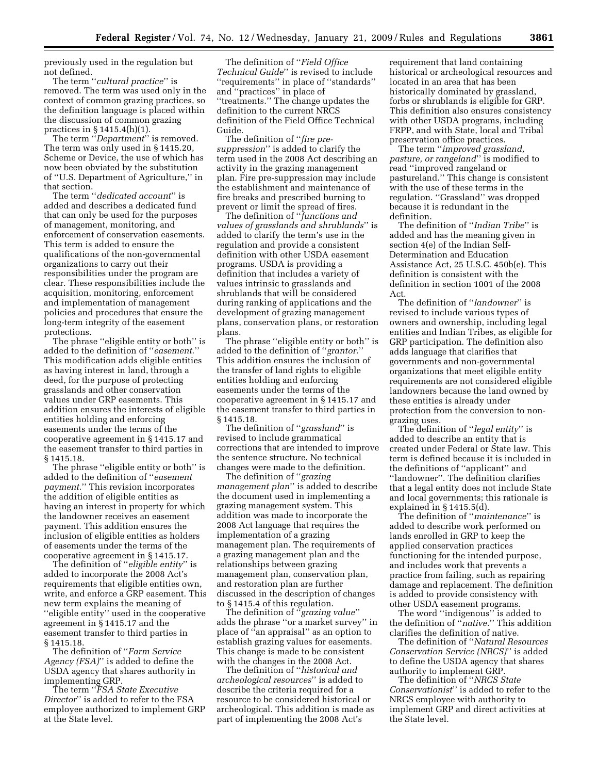previously used in the regulation but not defined.

The term ''*cultural practice*'' is removed. The term was used only in the context of common grazing practices, so the definition language is placed within the discussion of common grazing practices in § 1415.4(h)(1).

The term ''*Department*'' is removed. The term was only used in § 1415.20, Scheme or Device, the use of which has now been obviated by the substitution of ''U.S. Department of Agriculture,'' in that section.

The term ''*dedicated account*'' is added and describes a dedicated fund that can only be used for the purposes of management, monitoring, and enforcement of conservation easements. This term is added to ensure the qualifications of the non-governmental organizations to carry out their responsibilities under the program are clear. These responsibilities include the acquisition, monitoring, enforcement and implementation of management policies and procedures that ensure the long-term integrity of the easement protections.

The phrase ''eligible entity or both'' is added to the definition of ''*easement*.'' This modification adds eligible entities as having interest in land, through a deed, for the purpose of protecting grasslands and other conservation values under GRP easements. This addition ensures the interests of eligible entities holding and enforcing easements under the terms of the cooperative agreement in § 1415.17 and the easement transfer to third parties in § 1415.18.

The phrase ''eligible entity or both'' is added to the definition of ''*easement payment.*'' This revision incorporates the addition of eligible entities as having an interest in property for which the landowner receives an easement payment. This addition ensures the inclusion of eligible entities as holders of easements under the terms of the cooperative agreement in § 1415.17.

The definition of ''*eligible entity*'' is added to incorporate the 2008 Act's requirements that eligible entities own, write, and enforce a GRP easement. This new term explains the meaning of ''eligible entity'' used in the cooperative agreement in § 1415.17 and the easement transfer to third parties in § 1415.18.

The definition of ''*Farm Service Agency (FSA)*'' is added to define the USDA agency that shares authority in implementing GRP.

The term ''*FSA State Executive Director*'' is added to refer to the FSA employee authorized to implement GRP at the State level.

The definition of ''*Field Office Technical Guide*'' is revised to include ''requirements'' in place of ''standards'' and ''practices'' in place of ''treatments.'' The change updates the definition to the current NRCS definition of the Field Office Technical Guide.

The definition of ''*fire presuppression*'' is added to clarify the term used in the 2008 Act describing an activity in the grazing management plan. Fire pre-suppression may include the establishment and maintenance of fire breaks and prescribed burning to prevent or limit the spread of fires.

The definition of ''*functions and values of grasslands and shrublands*'' is added to clarify the term's use in the regulation and provide a consistent definition with other USDA easement programs. USDA is providing a definition that includes a variety of values intrinsic to grasslands and shrublands that will be considered during ranking of applications and the development of grazing management plans, conservation plans, or restoration plans.

The phrase ''eligible entity or both'' is added to the definition of ''*grantor.*'' This addition ensures the inclusion of the transfer of land rights to eligible entities holding and enforcing easements under the terms of the cooperative agreement in § 1415.17 and the easement transfer to third parties in § 1415.18.

The definition of ''*grassland*'' is revised to include grammatical corrections that are intended to improve the sentence structure. No technical changes were made to the definition.

The definition of ''*grazing management plan*'' is added to describe the document used in implementing a grazing management system. This addition was made to incorporate the 2008 Act language that requires the implementation of a grazing management plan. The requirements of a grazing management plan and the relationships between grazing management plan, conservation plan, and restoration plan are further discussed in the description of changes to § 1415.4 of this regulation.

The definition of ''*grazing value*'' adds the phrase ''or a market survey'' in place of ''an appraisal'' as an option to establish grazing values for easements. This change is made to be consistent with the changes in the 2008 Act.

The definition of ''*historical and archeological resources*'' is added to describe the criteria required for a resource to be considered historical or archeological. This addition is made as part of implementing the 2008 Act's

requirement that land containing historical or archeological resources and located in an area that has been historically dominated by grassland, forbs or shrublands is eligible for GRP. This definition also ensures consistency with other USDA programs, including FRPP, and with State, local and Tribal preservation office practices.

The term ''*improved grassland, pasture, or rangeland*'' is modified to read ''improved rangeland or pastureland.'' This change is consistent with the use of these terms in the regulation. ''Grassland'' was dropped because it is redundant in the definition.

The definition of ''*Indian Tribe*'' is added and has the meaning given in section 4(e) of the Indian Self-Determination and Education Assistance Act, 25 U.S.C. 450b(e). This definition is consistent with the definition in section 1001 of the 2008 Act.

The definition of ''*landowner*'' is revised to include various types of owners and ownership, including legal entities and Indian Tribes, as eligible for GRP participation. The definition also adds language that clarifies that governments and non-governmental organizations that meet eligible entity requirements are not considered eligible landowners because the land owned by these entities is already under protection from the conversion to nongrazing uses.

The definition of ''*legal entity*'' is added to describe an entity that is created under Federal or State law. This term is defined because it is included in the definitions of ''applicant'' and ''landowner''. The definition clarifies that a legal entity does not include State and local governments; this rationale is explained in § 1415.5(d).

The definition of ''*maintenance*'' is added to describe work performed on lands enrolled in GRP to keep the applied conservation practices functioning for the intended purpose, and includes work that prevents a practice from failing, such as repairing damage and replacement. The definition is added to provide consistency with other USDA easement programs.

The word ''indigenous'' is added to the definition of ''*native.*'' This addition clarifies the definition of native.

The definition of ''*Natural Resources Conservation Service (NRCS)*'' is added to define the USDA agency that shares authority to implement GRP.

The definition of ''*NRCS State Conservationist*'' is added to refer to the NRCS employee with authority to implement GRP and direct activities at the State level.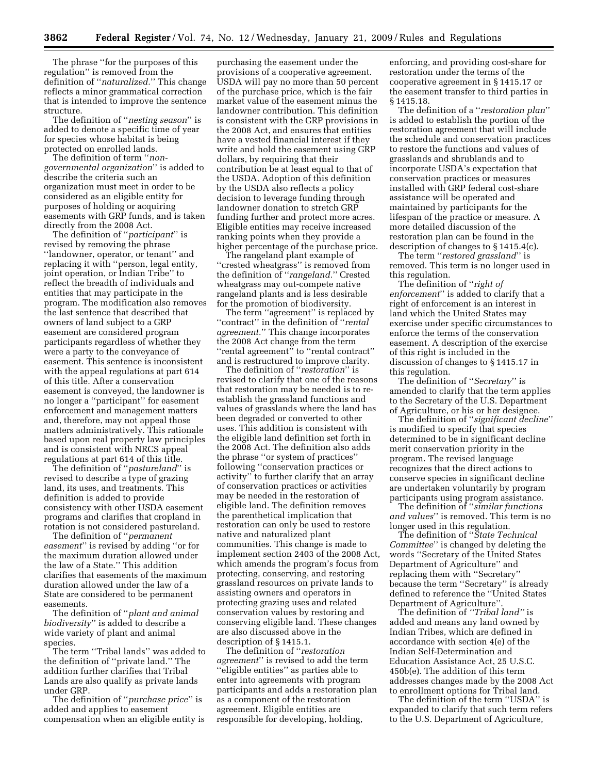The phrase ''for the purposes of this regulation'' is removed from the definition of ''*naturalized.*'' This change reflects a minor grammatical correction that is intended to improve the sentence structure.

The definition of ''*nesting season*'' is added to denote a specific time of year for species whose habitat is being protected on enrolled lands.

The definition of term ''*nongovernmental organization*'' is added to describe the criteria such an organization must meet in order to be considered as an eligible entity for purposes of holding or acquiring easements with GRP funds, and is taken directly from the 2008 Act.

The definition of ''*participant*'' is revised by removing the phrase ''landowner, operator, or tenant'' and replacing it with ''person, legal entity, joint operation, or Indian Tribe'' to reflect the breadth of individuals and entities that may participate in the program. The modification also removes the last sentence that described that owners of land subject to a GRP easement are considered program participants regardless of whether they were a party to the conveyance of easement. This sentence is inconsistent with the appeal regulations at part 614 of this title. After a conservation easement is conveyed, the landowner is no longer a ''participant'' for easement enforcement and management matters and, therefore, may not appeal those matters administratively. This rationale based upon real property law principles and is consistent with NRCS appeal regulations at part 614 of this title.

The definition of ''*pastureland*'' is revised to describe a type of grazing land, its uses, and treatments. This definition is added to provide consistency with other USDA easement programs and clarifies that cropland in rotation is not considered pastureland.

The definition of ''*permanent easement*'' is revised by adding ''or for the maximum duration allowed under the law of a State.'' This addition clarifies that easements of the maximum duration allowed under the law of a State are considered to be permanent easements.

The definition of ''*plant and animal biodiversity*'' is added to describe a wide variety of plant and animal species.

The term ''Tribal lands'' was added to the definition of ''private land.'' The addition further clarifies that Tribal Lands are also qualify as private lands under GRP.

The definition of ''*purchase price*'' is added and applies to easement compensation when an eligible entity is

purchasing the easement under the provisions of a cooperative agreement. USDA will pay no more than 50 percent of the purchase price, which is the fair market value of the easement minus the landowner contribution. This definition is consistent with the GRP provisions in the 2008 Act, and ensures that entities have a vested financial interest if they write and hold the easement using GRP dollars, by requiring that their contribution be at least equal to that of the USDA. Adoption of this definition by the USDA also reflects a policy decision to leverage funding through landowner donation to stretch GRP funding further and protect more acres. Eligible entities may receive increased ranking points when they provide a higher percentage of the purchase price.

The rangeland plant example of ''crested wheatgrass'' is removed from the definition of ''*rangeland.*'' Crested wheatgrass may out-compete native rangeland plants and is less desirable for the promotion of biodiversity.

The term "agreement" is replaced by ''contract'' in the definition of ''*rental agreement.*'' This change incorporates the 2008 Act change from the term ''rental agreement'' to ''rental contract'' and is restructured to improve clarity.

The definition of ''*restoration*'' is revised to clarify that one of the reasons that restoration may be needed is to reestablish the grassland functions and values of grasslands where the land has been degraded or converted to other uses. This addition is consistent with the eligible land definition set forth in the 2008 Act. The definition also adds the phrase ''or system of practices'' following ''conservation practices or activity'' to further clarify that an array of conservation practices or activities may be needed in the restoration of eligible land. The definition removes the parenthetical implication that restoration can only be used to restore native and naturalized plant communities. This change is made to implement section 2403 of the 2008 Act, which amends the program's focus from protecting, conserving, and restoring grassland resources on private lands to assisting owners and operators in protecting grazing uses and related conservation values by restoring and conserving eligible land. These changes are also discussed above in the description of § 1415.1.

The definition of ''*restoration agreement*'' is revised to add the term ''eligible entities'' as parties able to enter into agreements with program participants and adds a restoration plan as a component of the restoration agreement. Eligible entities are responsible for developing, holding,

enforcing, and providing cost-share for restoration under the terms of the cooperative agreement in § 1415.17 or the easement transfer to third parties in § 1415.18.

The definition of a ''*restoration plan*'' is added to establish the portion of the restoration agreement that will include the schedule and conservation practices to restore the functions and values of grasslands and shrublands and to incorporate USDA's expectation that conservation practices or measures installed with GRP federal cost-share assistance will be operated and maintained by participants for the lifespan of the practice or measure. A more detailed discussion of the restoration plan can be found in the description of changes to § 1415.4(c).

The term ''*restored grassland*'' is removed. This term is no longer used in this regulation.

The definition of ''*right of enforcement*'' is added to clarify that a right of enforcement is an interest in land which the United States may exercise under specific circumstances to enforce the terms of the conservation easement. A description of the exercise of this right is included in the discussion of changes to § 1415.17 in this regulation.

The definition of ''*Secretary*'' is amended to clarify that the term applies to the Secretary of the U.S. Department of Agriculture, or his or her designee.

The definition of ''*significant decline*'' is modified to specify that species determined to be in significant decline merit conservation priority in the program. The revised language recognizes that the direct actions to conserve species in significant decline are undertaken voluntarily by program participants using program assistance.

The definition of ''*similar functions and values*'' is removed. This term is no longer used in this regulation.

The definition of ''*State Technical Committee*'' is changed by deleting the words ''Secretary of the United States Department of Agriculture'' and replacing them with ''Secretary'' because the term ''Secretary'' is already defined to reference the ''United States Department of Agriculture''.

The definition of *''Tribal land''* is added and means any land owned by Indian Tribes, which are defined in accordance with section 4(e) of the Indian Self-Determination and Education Assistance Act, 25 U.S.C. 450b(e). The addition of this term addresses changes made by the 2008 Act to enrollment options for Tribal land.

The definition of the term ''USDA'' is expanded to clarify that such term refers to the U.S. Department of Agriculture,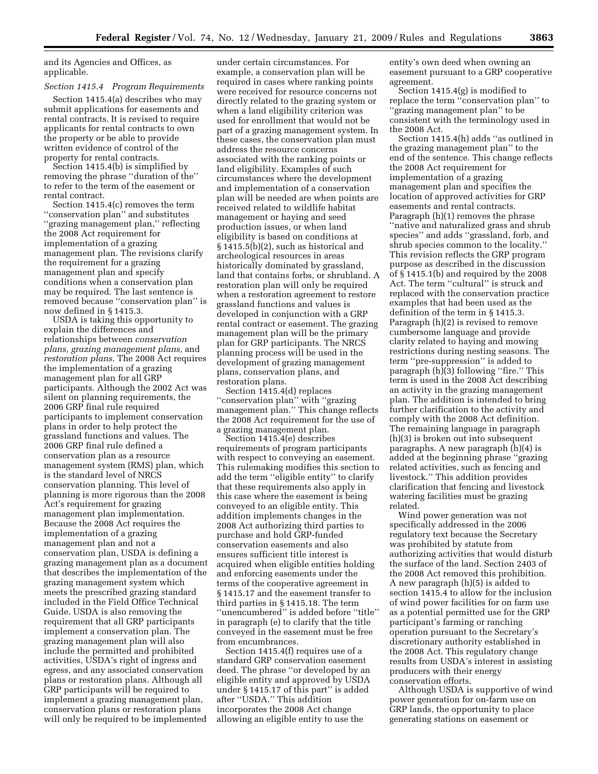and its Agencies and Offices, as applicable.

## *Section 1415.4 Program Requirements*

Section 1415.4(a) describes who may submit applications for easements and rental contracts. It is revised to require applicants for rental contracts to own the property or be able to provide written evidence of control of the property for rental contracts.

Section 1415.4(b) is simplified by removing the phrase ''duration of the'' to refer to the term of the easement or rental contract.

Section 1415.4(c) removes the term ''conservation plan'' and substitutes ''grazing management plan,'' reflecting the 2008 Act requirement for implementation of a grazing management plan. The revisions clarify the requirement for a grazing management plan and specify conditions when a conservation plan may be required. The last sentence is removed because ''conservation plan'' is now defined in § 1415.3.

USDA is taking this opportunity to explain the differences and relationships between *conservation plans, grazing management plans,* and *restoration plans*. The 2008 Act requires the implementation of a grazing management plan for all GRP participants. Although the 2002 Act was silent on planning requirements, the 2006 GRP final rule required participants to implement conservation plans in order to help protect the grassland functions and values. The 2006 GRP final rule defined a conservation plan as a resource management system (RMS) plan, which is the standard level of NRCS conservation planning. This level of planning is more rigorous than the 2008 Act's requirement for grazing management plan implementation. Because the 2008 Act requires the implementation of a grazing management plan and not a conservation plan, USDA is defining a grazing management plan as a document that describes the implementation of the grazing management system which meets the prescribed grazing standard included in the Field Office Technical Guide. USDA is also removing the requirement that all GRP participants implement a conservation plan. The grazing management plan will also include the permitted and prohibited activities, USDA's right of ingress and egress, and any associated conservation plans or restoration plans. Although all GRP participants will be required to implement a grazing management plan, conservation plans or restoration plans will only be required to be implemented

under certain circumstances. For example, a conservation plan will be required in cases where ranking points were received for resource concerns not directly related to the grazing system or when a land eligibility criterion was used for enrollment that would not be part of a grazing management system. In these cases, the conservation plan must address the resource concerns associated with the ranking points or land eligibility. Examples of such circumstances where the development and implementation of a conservation plan will be needed are when points are received related to wildlife habitat management or haying and seed production issues, or when land eligibility is based on conditions at § 1415.5(b)(2), such as historical and archeological resources in areas historically dominated by grassland, land that contains forbs, or shrubland. A restoration plan will only be required when a restoration agreement to restore grassland functions and values is developed in conjunction with a GRP rental contract or easement. The grazing management plan will be the primary plan for GRP participants. The NRCS planning process will be used in the development of grazing management plans, conservation plans, and restoration plans.

Section 1415.4(d) replaces ''conservation plan'' with ''grazing management plan.'' This change reflects the 2008 Act requirement for the use of a grazing management plan.

Section 1415.4(e) describes requirements of program participants with respect to conveying an easement. This rulemaking modifies this section to add the term ''eligible entity'' to clarify that these requirements also apply in this case where the easement is being conveyed to an eligible entity. This addition implements changes in the 2008 Act authorizing third parties to purchase and hold GRP-funded conservation easements and also ensures sufficient title interest is acquired when eligible entities holding and enforcing easements under the terms of the cooperative agreement in § 1415.17 and the easement transfer to third parties in § 1415.18. The term ''unencumbered'' is added before ''title'' in paragraph (e) to clarify that the title conveyed in the easement must be free from encumbrances.

Section 1415.4(f) requires use of a standard GRP conservation easement deed. The phrase ''or developed by an eligible entity and approved by USDA under § 1415.17 of this part'' is added after ''USDA.'' This addition incorporates the 2008 Act change allowing an eligible entity to use the

entity's own deed when owning an easement pursuant to a GRP cooperative agreement.

Section 1415.4(g) is modified to replace the term ''conservation plan'' to ''grazing management plan'' to be consistent with the terminology used in the 2008 Act.

Section 1415.4(h) adds ''as outlined in the grazing management plan'' to the end of the sentence. This change reflects the 2008 Act requirement for implementation of a grazing management plan and specifies the location of approved activities for GRP easements and rental contracts. Paragraph (h)(1) removes the phrase ''native and naturalized grass and shrub species'' and adds ''grassland, forb, and shrub species common to the locality.'' This revision reflects the GRP program purpose as described in the discussion of § 1415.1(b) and required by the 2008 Act. The term ''cultural'' is struck and replaced with the conservation practice examples that had been used as the definition of the term in § 1415.3. Paragraph (h)(2) is revised to remove cumbersome language and provide clarity related to haying and mowing restrictions during nesting seasons. The term ''pre-suppression'' is added to paragraph (h)(3) following ''fire.'' This term is used in the 2008 Act describing an activity in the grazing management plan. The addition is intended to bring further clarification to the activity and comply with the 2008 Act definition. The remaining language in paragraph (h)(3) is broken out into subsequent paragraphs. A new paragraph (h)(4) is added at the beginning phrase ''grazing related activities, such as fencing and livestock.'' This addition provides clarification that fencing and livestock watering facilities must be grazing related.

Wind power generation was not specifically addressed in the 2006 regulatory text because the Secretary was prohibited by statute from authorizing activities that would disturb the surface of the land. Section 2403 of the 2008 Act removed this prohibition. A new paragraph (h)(5) is added to section 1415.4 to allow for the inclusion of wind power facilities for on farm use as a potential permitted use for the GRP participant's farming or ranching operation pursuant to the Secretary's discretionary authority established in the 2008 Act. This regulatory change results from USDA's interest in assisting producers with their energy conservation efforts.

Although USDA is supportive of wind power generation for on-farm use on GRP lands, the opportunity to place generating stations on easement or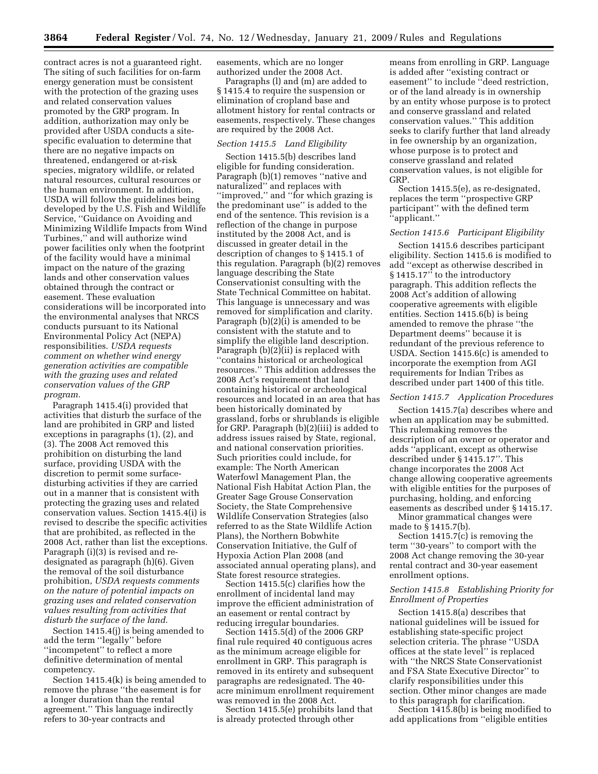contract acres is not a guaranteed right. The siting of such facilities for on-farm energy generation must be consistent with the protection of the grazing uses and related conservation values promoted by the GRP program. In addition, authorization may only be provided after USDA conducts a sitespecific evaluation to determine that there are no negative impacts on threatened, endangered or at-risk species, migratory wildlife, or related natural resources, cultural resources or the human environment. In addition, USDA will follow the guidelines being developed by the U.S. Fish and Wildlife Service, ''Guidance on Avoiding and Minimizing Wildlife Impacts from Wind Turbines,'' and will authorize wind power facilities only when the footprint of the facility would have a minimal impact on the nature of the grazing lands and other conservation values obtained through the contract or easement. These evaluation considerations will be incorporated into the environmental analyses that NRCS conducts pursuant to its National Environmental Policy Act (NEPA) responsibilities. *USDA requests comment on whether wind energy generation activities are compatible with the grazing uses and related conservation values of the GRP program.* 

Paragraph 1415.4(i) provided that activities that disturb the surface of the land are prohibited in GRP and listed exceptions in paragraphs (1), (2), and (3). The 2008 Act removed this prohibition on disturbing the land surface, providing USDA with the discretion to permit some surfacedisturbing activities if they are carried out in a manner that is consistent with protecting the grazing uses and related conservation values. Section 1415.4(i) is revised to describe the specific activities that are prohibited, as reflected in the 2008 Act, rather than list the exceptions. Paragraph (i)(3) is revised and redesignated as paragraph (h)(6). Given the removal of the soil disturbance prohibition, *USDA requests comments on the nature of potential impacts on grazing uses and related conservation values resulting from activities that disturb the surface of the land.* 

Section 1415.4(j) is being amended to add the term ''legally'' before ''incompetent'' to reflect a more definitive determination of mental competency.

Section 1415.4(k) is being amended to remove the phrase ''the easement is for a longer duration than the rental agreement.'' This language indirectly refers to 30-year contracts and

easements, which are no longer authorized under the 2008 Act.

Paragraphs (l) and (m) are added to § 1415.4 to require the suspension or elimination of cropland base and allotment history for rental contracts or easements, respectively. These changes are required by the 2008 Act.

## *Section 1415.5 Land Eligibility*

Section 1415.5(b) describes land eligible for funding consideration. Paragraph (b)(1) removes ''native and naturalized'' and replaces with ''improved,'' and ''for which grazing is the predominant use'' is added to the end of the sentence. This revision is a reflection of the change in purpose instituted by the 2008 Act, and is discussed in greater detail in the description of changes to § 1415.1 of this regulation. Paragraph (b)(2) removes language describing the State Conservationist consulting with the State Technical Committee on habitat. This language is unnecessary and was removed for simplification and clarity. Paragraph (b)(2)(i) is amended to be consistent with the statute and to simplify the eligible land description. Paragraph (b)(2)(ii) is replaced with ''contains historical or archeological resources.'' This addition addresses the 2008 Act's requirement that land containing historical or archeological resources and located in an area that has been historically dominated by grassland, forbs or shrublands is eligible for GRP. Paragraph (b)(2)(iii) is added to address issues raised by State, regional, and national conservation priorities. Such priorities could include, for example: The North American Waterfowl Management Plan, the National Fish Habitat Action Plan, the Greater Sage Grouse Conservation Society, the State Comprehensive Wildlife Conservation Strategies (also referred to as the State Wildlife Action Plans), the Northern Bobwhite Conservation Initiative, the Gulf of Hypoxia Action Plan 2008 (and associated annual operating plans), and State forest resource strategies.

Section 1415.5(c) clarifies how the enrollment of incidental land may improve the efficient administration of an easement or rental contract by reducing irregular boundaries.

Section 1415.5(d) of the 2006 GRP final rule required 40 contiguous acres as the minimum acreage eligible for enrollment in GRP. This paragraph is removed in its entirety and subsequent paragraphs are redesignated. The 40 acre minimum enrollment requirement was removed in the 2008 Act.

Section 1415.5(e) prohibits land that is already protected through other

means from enrolling in GRP. Language is added after ''existing contract or easement'' to include ''deed restriction, or of the land already is in ownership by an entity whose purpose is to protect and conserve grassland and related conservation values.'' This addition seeks to clarify further that land already in fee ownership by an organization, whose purpose is to protect and conserve grassland and related conservation values, is not eligible for GRP.

Section 1415.5(e), as re-designated, replaces the term ''prospective GRP participant'' with the defined term ''applicant.''

## *Section 1415.6 Participant Eligibility*

Section 1415.6 describes participant eligibility. Section 1415.6 is modified to add ''except as otherwise described in § 1415.17'' to the introductory paragraph. This addition reflects the 2008 Act's addition of allowing cooperative agreements with eligible entities. Section 1415.6(b) is being amended to remove the phrase ''the Department deems'' because it is redundant of the previous reference to USDA. Section 1415.6(c) is amended to incorporate the exemption from AGI requirements for Indian Tribes as described under part 1400 of this title.

## *Section 1415.7 Application Procedures*

Section 1415.7(a) describes where and when an application may be submitted. This rulemaking removes the description of an owner or operator and adds ''applicant, except as otherwise described under § 1415.17''. This change incorporates the 2008 Act change allowing cooperative agreements with eligible entities for the purposes of purchasing, holding, and enforcing easements as described under § 1415.17.

Minor grammatical changes were made to § 1415.7(b).

Section 1415.7(c) is removing the term ''30-years'' to comport with the 2008 Act change removing the 30-year rental contract and 30-year easement enrollment options.

## *Section 1415.8 Establishing Priority for Enrollment of Properties*

Section 1415.8(a) describes that national guidelines will be issued for establishing state-specific project selection criteria. The phrase ''USDA offices at the state level'' is replaced with ''the NRCS State Conservationist and FSA State Executive Director'' to clarify responsibilities under this section. Other minor changes are made to this paragraph for clarification.

Section 1415.8(b) is being modified to add applications from ''eligible entities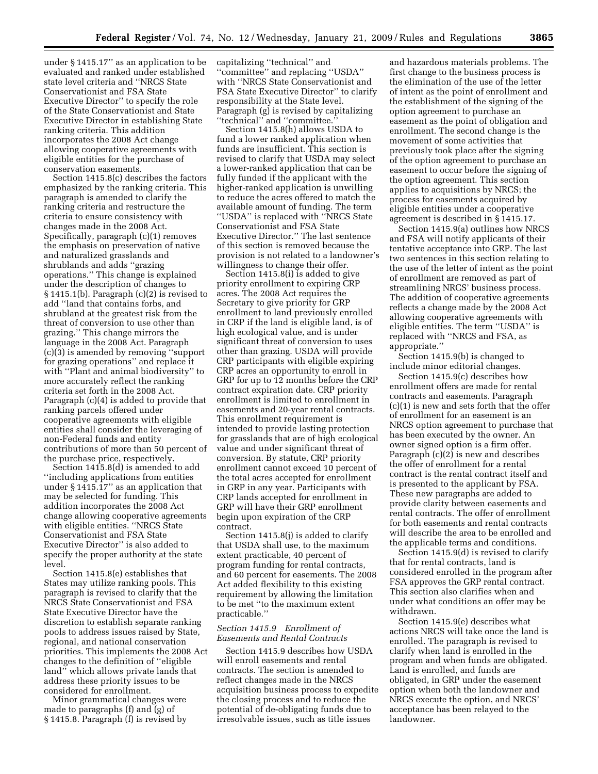under § 1415.17'' as an application to be evaluated and ranked under established state level criteria and ''NRCS State Conservationist and FSA State Executive Director'' to specify the role of the State Conservationist and State Executive Director in establishing State ranking criteria. This addition incorporates the 2008 Act change allowing cooperative agreements with eligible entities for the purchase of conservation easements.

Section 1415.8(c) describes the factors emphasized by the ranking criteria. This paragraph is amended to clarify the ranking criteria and restructure the criteria to ensure consistency with changes made in the 2008 Act. Specifically, paragraph (c)(1) removes the emphasis on preservation of native and naturalized grasslands and shrublands and adds ''grazing operations.'' This change is explained under the description of changes to § 1415.1(b). Paragraph (c)(2) is revised to add ''land that contains forbs, and shrubland at the greatest risk from the threat of conversion to use other than grazing.'' This change mirrors the language in the 2008 Act. Paragraph (c)(3) is amended by removing ''support for grazing operations'' and replace it with ''Plant and animal biodiversity'' to more accurately reflect the ranking criteria set forth in the 2008 Act. Paragraph (c)(4) is added to provide that ranking parcels offered under cooperative agreements with eligible entities shall consider the leveraging of non-Federal funds and entity contributions of more than 50 percent of the purchase price, respectively.

Section 1415.8(d) is amended to add ''including applications from entities under § 1415.17'' as an application that may be selected for funding. This addition incorporates the 2008 Act change allowing cooperative agreements with eligible entities. ''NRCS State Conservationist and FSA State Executive Director'' is also added to specify the proper authority at the state level.

Section 1415.8(e) establishes that States may utilize ranking pools. This paragraph is revised to clarify that the NRCS State Conservationist and FSA State Executive Director have the discretion to establish separate ranking pools to address issues raised by State, regional, and national conservation priorities. This implements the 2008 Act changes to the definition of ''eligible land'' which allows private lands that address these priority issues to be considered for enrollment.

Minor grammatical changes were made to paragraphs (f) and (g) of § 1415.8. Paragraph (f) is revised by capitalizing ''technical'' and ''committee'' and replacing ''USDA'' with ''NRCS State Conservationist and FSA State Executive Director'' to clarify responsibility at the State level. Paragraph (g) is revised by capitalizing ''technical'' and ''committee.''

Section 1415.8(h) allows USDA to fund a lower ranked application when funds are insufficient. This section is revised to clarify that USDA may select a lower-ranked application that can be fully funded if the applicant with the higher-ranked application is unwilling to reduce the acres offered to match the available amount of funding. The term ''USDA'' is replaced with ''NRCS State Conservationist and FSA State Executive Director.'' The last sentence of this section is removed because the provision is not related to a landowner's willingness to change their offer.

Section 1415.8(i) is added to give priority enrollment to expiring CRP acres. The 2008 Act requires the Secretary to give priority for GRP enrollment to land previously enrolled in CRP if the land is eligible land, is of high ecological value, and is under significant threat of conversion to uses other than grazing. USDA will provide CRP participants with eligible expiring CRP acres an opportunity to enroll in GRP for up to 12 months before the CRP contract expiration date. CRP priority enrollment is limited to enrollment in easements and 20-year rental contracts. This enrollment requirement is intended to provide lasting protection for grasslands that are of high ecological value and under significant threat of conversion. By statute, CRP priority enrollment cannot exceed 10 percent of the total acres accepted for enrollment in GRP in any year. Participants with CRP lands accepted for enrollment in GRP will have their GRP enrollment begin upon expiration of the CRP contract.

Section 1415.8(j) is added to clarify that USDA shall use, to the maximum extent practicable, 40 percent of program funding for rental contracts, and 60 percent for easements. The 2008 Act added flexibility to this existing requirement by allowing the limitation to be met ''to the maximum extent practicable.''

## *Section 1415.9 Enrollment of Easements and Rental Contracts*

Section 1415.9 describes how USDA will enroll easements and rental contracts. The section is amended to reflect changes made in the NRCS acquisition business process to expedite the closing process and to reduce the potential of de-obligating funds due to irresolvable issues, such as title issues

and hazardous materials problems. The first change to the business process is the elimination of the use of the letter of intent as the point of enrollment and the establishment of the signing of the option agreement to purchase an easement as the point of obligation and enrollment. The second change is the movement of some activities that previously took place after the signing of the option agreement to purchase an easement to occur before the signing of the option agreement. This section applies to acquisitions by NRCS; the process for easements acquired by eligible entities under a cooperative agreement is described in § 1415.17.

Section 1415.9(a) outlines how NRCS and FSA will notify applicants of their tentative acceptance into GRP. The last two sentences in this section relating to the use of the letter of intent as the point of enrollment are removed as part of streamlining NRCS' business process. The addition of cooperative agreements reflects a change made by the 2008 Act allowing cooperative agreements with eligible entities. The term ''USDA'' is replaced with ''NRCS and FSA, as appropriate.''

Section 1415.9(b) is changed to include minor editorial changes.

Section 1415.9(c) describes how enrollment offers are made for rental contracts and easements. Paragraph  $(c)(1)$  is new and sets forth that the offer of enrollment for an easement is an NRCS option agreement to purchase that has been executed by the owner. An owner signed option is a firm offer. Paragraph (c)(2) is new and describes the offer of enrollment for a rental contract is the rental contract itself and is presented to the applicant by FSA. These new paragraphs are added to provide clarity between easements and rental contracts. The offer of enrollment for both easements and rental contracts will describe the area to be enrolled and the applicable terms and conditions.

Section 1415.9(d) is revised to clarify that for rental contracts, land is considered enrolled in the program after FSA approves the GRP rental contract. This section also clarifies when and under what conditions an offer may be withdrawn.

Section 1415.9(e) describes what actions NRCS will take once the land is enrolled. The paragraph is revised to clarify when land is enrolled in the program and when funds are obligated. Land is enrolled, and funds are obligated, in GRP under the easement option when both the landowner and NRCS execute the option, and NRCS' acceptance has been relayed to the landowner.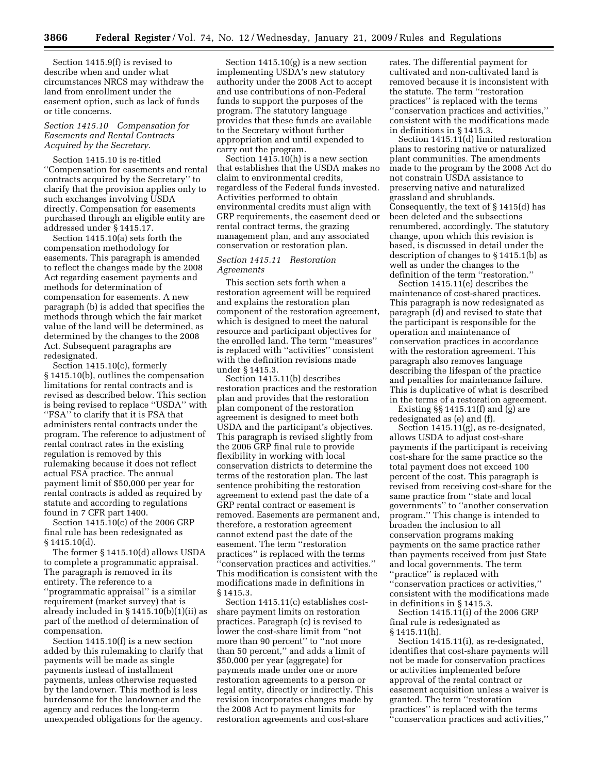Section 1415.9(f) is revised to describe when and under what circumstances NRCS may withdraw the land from enrollment under the easement option, such as lack of funds or title concerns.

# *Section 1415.10 Compensation for Easements and Rental Contracts Acquired by the Secretary.*

Section 1415.10 is re-titled ''Compensation for easements and rental contracts acquired by the Secretary'' to clarify that the provision applies only to such exchanges involving USDA directly. Compensation for easements purchased through an eligible entity are addressed under § 1415.17.

Section 1415.10(a) sets forth the compensation methodology for easements. This paragraph is amended to reflect the changes made by the 2008 Act regarding easement payments and methods for determination of compensation for easements. A new paragraph (b) is added that specifies the methods through which the fair market value of the land will be determined, as determined by the changes to the 2008 Act. Subsequent paragraphs are redesignated.

Section 1415.10(c), formerly § 1415.10(b), outlines the compensation limitations for rental contracts and is revised as described below. This section is being revised to replace ''USDA'' with ''FSA'' to clarify that it is FSA that administers rental contracts under the program. The reference to adjustment of rental contract rates in the existing regulation is removed by this rulemaking because it does not reflect actual FSA practice. The annual payment limit of \$50,000 per year for rental contracts is added as required by statute and according to regulations found in 7 CFR part 1400.

Section 1415.10(c) of the 2006 GRP final rule has been redesignated as § 1415.10(d).

The former § 1415.10(d) allows USDA to complete a programmatic appraisal. The paragraph is removed in its entirety. The reference to a ''programmatic appraisal'' is a similar requirement (market survey) that is already included in  $\S 1415.10(b)(1)(ii)$  as part of the method of determination of compensation.

Section 1415.10(f) is a new section added by this rulemaking to clarify that payments will be made as single payments instead of installment payments, unless otherwise requested by the landowner. This method is less burdensome for the landowner and the agency and reduces the long-term unexpended obligations for the agency.

Section 1415.10(g) is a new section implementing USDA's new statutory authority under the 2008 Act to accept and use contributions of non-Federal funds to support the purposes of the program. The statutory language provides that these funds are available to the Secretary without further appropriation and until expended to carry out the program.

Section 1415.10(h) is a new section that establishes that the USDA makes no claim to environmental credits, regardless of the Federal funds invested. Activities performed to obtain environmental credits must align with GRP requirements, the easement deed or rental contract terms, the grazing management plan, and any associated conservation or restoration plan.

## *Section 1415.11 Restoration Agreements*

This section sets forth when a restoration agreement will be required and explains the restoration plan component of the restoration agreement, which is designed to meet the natural resource and participant objectives for the enrolled land. The term ''measures'' is replaced with ''activities'' consistent with the definition revisions made under § 1415.3.

Section 1415.11(b) describes restoration practices and the restoration plan and provides that the restoration plan component of the restoration agreement is designed to meet both USDA and the participant's objectives. This paragraph is revised slightly from the 2006 GRP final rule to provide flexibility in working with local conservation districts to determine the terms of the restoration plan. The last sentence prohibiting the restoration agreement to extend past the date of a GRP rental contract or easement is removed. Easements are permanent and, therefore, a restoration agreement cannot extend past the date of the easement. The term ''restoration practices'' is replaced with the terms ''conservation practices and activities.'' This modification is consistent with the modifications made in definitions in § 1415.3.

Section 1415.11(c) establishes costshare payment limits on restoration practices. Paragraph (c) is revised to lower the cost-share limit from ''not more than 90 percent'' to ''not more than 50 percent,'' and adds a limit of \$50,000 per year (aggregate) for payments made under one or more restoration agreements to a person or legal entity, directly or indirectly. This revision incorporates changes made by the 2008 Act to payment limits for restoration agreements and cost-share

rates. The differential payment for cultivated and non-cultivated land is removed because it is inconsistent with the statute. The term ''restoration practices'' is replaced with the terms ''conservation practices and activities,'' consistent with the modifications made in definitions in § 1415.3.

Section 1415.11(d) limited restoration plans to restoring native or naturalized plant communities. The amendments made to the program by the 2008 Act do not constrain USDA assistance to preserving native and naturalized grassland and shrublands. Consequently, the text of § 1415(d) has been deleted and the subsections renumbered, accordingly. The statutory change, upon which this revision is based, is discussed in detail under the description of changes to § 1415.1(b) as well as under the changes to the definition of the term ''restoration.''

Section 1415.11(e) describes the maintenance of cost-shared practices. This paragraph is now redesignated as paragraph (d) and revised to state that the participant is responsible for the operation and maintenance of conservation practices in accordance with the restoration agreement. This paragraph also removes language describing the lifespan of the practice and penalties for maintenance failure. This is duplicative of what is described in the terms of a restoration agreement.

Existing §§ 1415.11(f) and (g) are redesignated as (e) and (f).

Section 1415.11(g), as re-designated, allows USDA to adjust cost-share payments if the participant is receiving cost-share for the same practice so the total payment does not exceed 100 percent of the cost. This paragraph is revised from receiving cost-share for the same practice from ''state and local governments'' to ''another conservation program.'' This change is intended to broaden the inclusion to all conservation programs making payments on the same practice rather than payments received from just State and local governments. The term ''practice'' is replaced with ''conservation practices or activities,'' consistent with the modifications made in definitions in § 1415.3.

Section 1415.11(i) of the 2006 GRP final rule is redesignated as § 1415.11(h).

Section 1415.11(i), as re-designated, identifies that cost-share payments will not be made for conservation practices or activities implemented before approval of the rental contract or easement acquisition unless a waiver is granted. The term ''restoration practices'' is replaced with the terms ''conservation practices and activities,''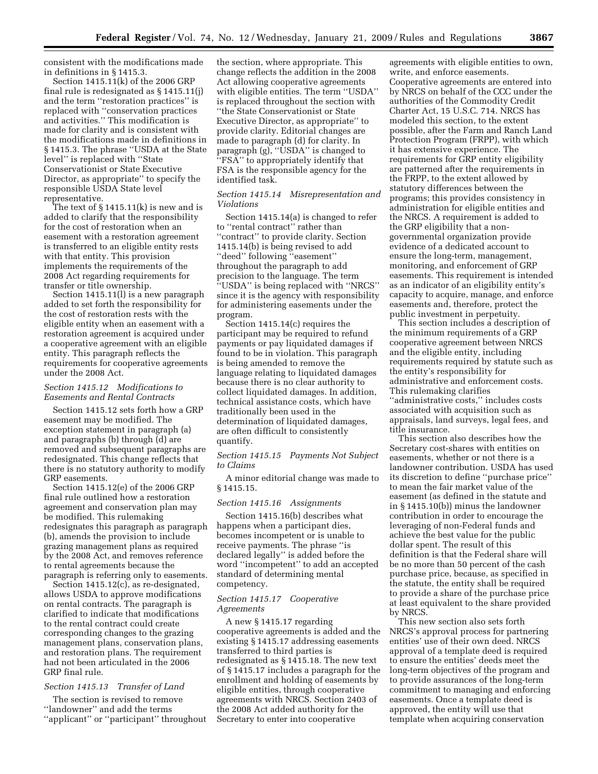consistent with the modifications made in definitions in § 1415.3.

Section 1415.11(k) of the 2006 GRP final rule is redesignated as § 1415.11(j) and the term ''restoration practices'' is replaced with ''conservation practices and activities.'' This modification is made for clarity and is consistent with the modifications made in definitions in § 1415.3. The phrase "USDA at the State level'' is replaced with ''State Conservationist or State Executive Director, as appropriate'' to specify the responsible USDA State level representative.

The text of § 1415.11(k) is new and is added to clarify that the responsibility for the cost of restoration when an easement with a restoration agreement is transferred to an eligible entity rests with that entity. This provision implements the requirements of the 2008 Act regarding requirements for transfer or title ownership.

Section 1415.11(l) is a new paragraph added to set forth the responsibility for the cost of restoration rests with the eligible entity when an easement with a restoration agreement is acquired under a cooperative agreement with an eligible entity. This paragraph reflects the requirements for cooperative agreements under the 2008 Act.

# *Section 1415.12 Modifications to Easements and Rental Contracts*

Section 1415.12 sets forth how a GRP easement may be modified. The exception statement in paragraph (a) and paragraphs (b) through (d) are removed and subsequent paragraphs are redesignated. This change reflects that there is no statutory authority to modify GRP easements.

Section 1415.12(e) of the 2006 GRP final rule outlined how a restoration agreement and conservation plan may be modified. This rulemaking redesignates this paragraph as paragraph (b), amends the provision to include grazing management plans as required by the 2008 Act, and removes reference to rental agreements because the paragraph is referring only to easements.

Section 1415.12(c), as re-designated, allows USDA to approve modifications on rental contracts. The paragraph is clarified to indicate that modifications to the rental contract could create corresponding changes to the grazing management plans, conservation plans, and restoration plans. The requirement had not been articulated in the 2006 GRP final rule.

## *Section 1415.13 Transfer of Land*

The section is revised to remove ''landowner'' and add the terms ''applicant'' or ''participant'' throughout

the section, where appropriate. This change reflects the addition in the 2008 Act allowing cooperative agreements with eligible entities. The term ''USDA'' is replaced throughout the section with ''the State Conservationist or State Executive Director, as appropriate'' to provide clarity. Editorial changes are made to paragraph (d) for clarity. In paragraph (g), "USDA" is changed to ''FSA'' to appropriately identify that FSA is the responsible agency for the identified task.

# *Section 1415.14 Misrepresentation and Violations*

Section 1415.14(a) is changed to refer to ''rental contract'' rather than ''contract'' to provide clarity. Section 1415.14(b) is being revised to add ''deed'' following ''easement'' throughout the paragraph to add precision to the language. The term ''USDA'' is being replaced with ''NRCS'' since it is the agency with responsibility for administering easements under the program.

Section 1415.14(c) requires the participant may be required to refund payments or pay liquidated damages if found to be in violation. This paragraph is being amended to remove the language relating to liquidated damages because there is no clear authority to collect liquidated damages. In addition, technical assistance costs, which have traditionally been used in the determination of liquidated damages, are often difficult to consistently quantify.

## *Section 1415.15 Payments Not Subject to Claims*

A minor editorial change was made to § 1415.15.

#### *Section 1415.16 Assignments*

Section 1415.16(b) describes what happens when a participant dies, becomes incompetent or is unable to receive payments. The phrase ''is declared legally'' is added before the word ''incompetent'' to add an accepted standard of determining mental competency.

## *Section 1415.17 Cooperative Agreements*

A new § 1415.17 regarding cooperative agreements is added and the existing § 1415.17 addressing easements transferred to third parties is redesignated as § 1415.18. The new text of § 1415.17 includes a paragraph for the enrollment and holding of easements by eligible entities, through cooperative agreements with NRCS. Section 2403 of the 2008 Act added authority for the Secretary to enter into cooperative

agreements with eligible entities to own, write, and enforce easements. Cooperative agreements are entered into by NRCS on behalf of the CCC under the authorities of the Commodity Credit Charter Act, 15 U.S.C. 714. NRCS has modeled this section, to the extent possible, after the Farm and Ranch Land Protection Program (FRPP), with which it has extensive experience. The requirements for GRP entity eligibility are patterned after the requirements in the FRPP, to the extent allowed by statutory differences between the programs; this provides consistency in administration for eligible entities and the NRCS. A requirement is added to the GRP eligibility that a nongovernmental organization provide evidence of a dedicated account to ensure the long-term, management, monitoring, and enforcement of GRP easements. This requirement is intended as an indicator of an eligibility entity's capacity to acquire, manage, and enforce easements and, therefore, protect the public investment in perpetuity.

This section includes a description of the minimum requirements of a GRP cooperative agreement between NRCS and the eligible entity, including requirements required by statute such as the entity's responsibility for administrative and enforcement costs. This rulemaking clarifies ''administrative costs,'' includes costs associated with acquisition such as appraisals, land surveys, legal fees, and title insurance.

This section also describes how the Secretary cost-shares with entities on easements, whether or not there is a landowner contribution. USDA has used its discretion to define ''purchase price'' to mean the fair market value of the easement (as defined in the statute and in § 1415.10(b)) minus the landowner contribution in order to encourage the leveraging of non-Federal funds and achieve the best value for the public dollar spent. The result of this definition is that the Federal share will be no more than 50 percent of the cash purchase price, because, as specified in the statute, the entity shall be required to provide a share of the purchase price at least equivalent to the share provided by NRCS.

This new section also sets forth NRCS's approval process for partnering entities' use of their own deed. NRCS approval of a template deed is required to ensure the entities' deeds meet the long-term objectives of the program and to provide assurances of the long-term commitment to managing and enforcing easements. Once a template deed is approved, the entity will use that template when acquiring conservation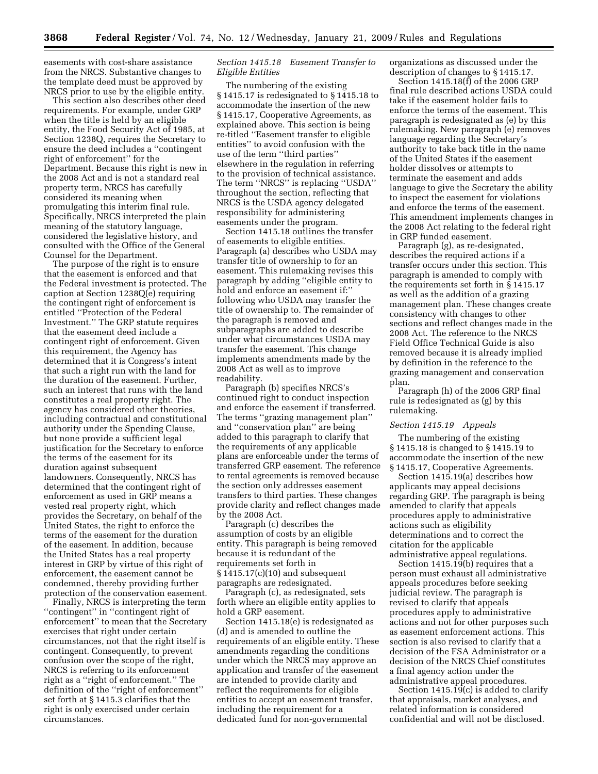easements with cost-share assistance from the NRCS. Substantive changes to the template deed must be approved by NRCS prior to use by the eligible entity.

This section also describes other deed requirements. For example, under GRP when the title is held by an eligible entity, the Food Security Act of 1985, at Section 1238Q, requires the Secretary to ensure the deed includes a ''contingent right of enforcement'' for the Department. Because this right is new in the 2008 Act and is not a standard real property term, NRCS has carefully considered its meaning when promulgating this interim final rule. Specifically, NRCS interpreted the plain meaning of the statutory language, considered the legislative history, and consulted with the Office of the General Counsel for the Department.

The purpose of the right is to ensure that the easement is enforced and that the Federal investment is protected. The caption at Section 1238Q(e) requiring the contingent right of enforcement is entitled ''Protection of the Federal Investment.'' The GRP statute requires that the easement deed include a contingent right of enforcement. Given this requirement, the Agency has determined that it is Congress's intent that such a right run with the land for the duration of the easement. Further, such an interest that runs with the land constitutes a real property right. The agency has considered other theories, including contractual and constitutional authority under the Spending Clause, but none provide a sufficient legal justification for the Secretary to enforce the terms of the easement for its duration against subsequent landowners. Consequently, NRCS has determined that the contingent right of enforcement as used in GRP means a vested real property right, which provides the Secretary, on behalf of the United States, the right to enforce the terms of the easement for the duration of the easement. In addition, because the United States has a real property interest in GRP by virtue of this right of enforcement, the easement cannot be condemned, thereby providing further protection of the conservation easement.

Finally, NRCS is interpreting the term ''contingent'' in ''contingent right of enforcement'' to mean that the Secretary exercises that right under certain circumstances, not that the right itself is contingent. Consequently, to prevent confusion over the scope of the right, NRCS is referring to its enforcement right as a ''right of enforcement.'' The definition of the ''right of enforcement'' set forth at § 1415.3 clarifies that the right is only exercised under certain circumstances.

# *Section 1415.18 Easement Transfer to Eligible Entities*

The numbering of the existing § 1415.17 is redesignated to § 1415.18 to accommodate the insertion of the new § 1415.17, Cooperative Agreements, as explained above. This section is being re-titled ''Easement transfer to eligible entities'' to avoid confusion with the use of the term ''third parties'' elsewhere in the regulation in referring to the provision of technical assistance. The term ''NRCS'' is replacing ''USDA'' throughout the section, reflecting that NRCS is the USDA agency delegated responsibility for administering easements under the program.

Section 1415.18 outlines the transfer of easements to eligible entities. Paragraph (a) describes who USDA may transfer title of ownership to for an easement. This rulemaking revises this paragraph by adding ''eligible entity to hold and enforce an easement if:'' following who USDA may transfer the title of ownership to. The remainder of the paragraph is removed and subparagraphs are added to describe under what circumstances USDA may transfer the easement. This change implements amendments made by the 2008 Act as well as to improve readability.

Paragraph (b) specifies NRCS's continued right to conduct inspection and enforce the easement if transferred. The terms ''grazing management plan'' and ''conservation plan'' are being added to this paragraph to clarify that the requirements of any applicable plans are enforceable under the terms of transferred GRP easement. The reference to rental agreements is removed because the section only addresses easement transfers to third parties. These changes provide clarity and reflect changes made by the 2008 Act.

Paragraph (c) describes the assumption of costs by an eligible entity. This paragraph is being removed because it is redundant of the requirements set forth in § 1415.17(c)(10) and subsequent paragraphs are redesignated.

Paragraph (c), as redesignated, sets forth where an eligible entity applies to hold a GRP easement.

Section 1415.18(e) is redesignated as (d) and is amended to outline the requirements of an eligible entity. These amendments regarding the conditions under which the NRCS may approve an application and transfer of the easement are intended to provide clarity and reflect the requirements for eligible entities to accept an easement transfer, including the requirement for a dedicated fund for non-governmental

organizations as discussed under the description of changes to § 1415.17.

Section 1415.18(f) of the 2006 GRP final rule described actions USDA could take if the easement holder fails to enforce the terms of the easement. This paragraph is redesignated as (e) by this rulemaking. New paragraph (e) removes language regarding the Secretary's authority to take back title in the name of the United States if the easement holder dissolves or attempts to terminate the easement and adds language to give the Secretary the ability to inspect the easement for violations and enforce the terms of the easement. This amendment implements changes in the 2008 Act relating to the federal right in GRP funded easement.

Paragraph (g), as re-designated, describes the required actions if a transfer occurs under this section. This paragraph is amended to comply with the requirements set forth in § 1415.17 as well as the addition of a grazing management plan. These changes create consistency with changes to other sections and reflect changes made in the 2008 Act. The reference to the NRCS Field Office Technical Guide is also removed because it is already implied by definition in the reference to the grazing management and conservation plan.

Paragraph (h) of the 2006 GRP final rule is redesignated as (g) by this rulemaking.

# *Section 1415.19 Appeals*

The numbering of the existing § 1415.18 is changed to § 1415.19 to accommodate the insertion of the new § 1415.17, Cooperative Agreements.

Section 1415.19(a) describes how applicants may appeal decisions regarding GRP. The paragraph is being amended to clarify that appeals procedures apply to administrative actions such as eligibility determinations and to correct the citation for the applicable administrative appeal regulations.

Section 1415.19(b) requires that a person must exhaust all administrative appeals procedures before seeking judicial review. The paragraph is revised to clarify that appeals procedures apply to administrative actions and not for other purposes such as easement enforcement actions. This section is also revised to clarify that a decision of the FSA Administrator or a decision of the NRCS Chief constitutes a final agency action under the administrative appeal procedures.

Section 1415.19(c) is added to clarify that appraisals, market analyses, and related information is considered confidential and will not be disclosed.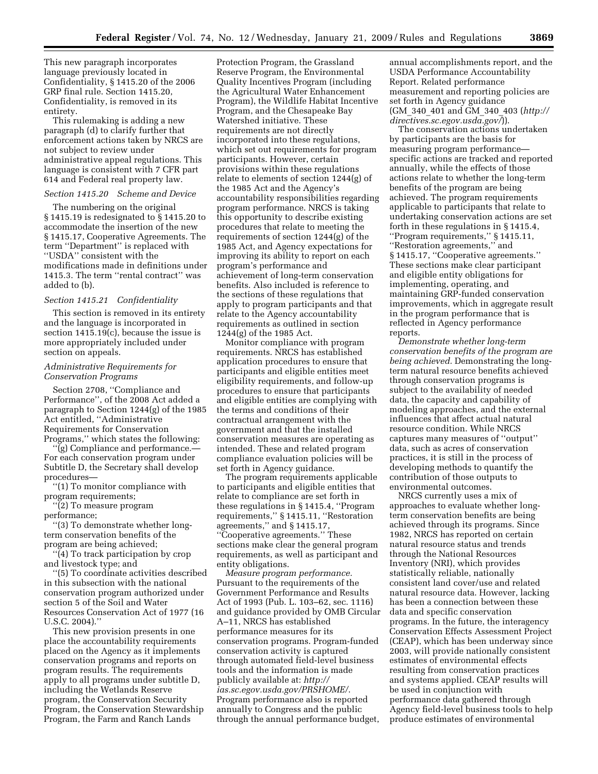This new paragraph incorporates language previously located in Confidentiality, § 1415.20 of the 2006 GRP final rule. Section 1415.20, Confidentiality, is removed in its entirety.

This rulemaking is adding a new paragraph (d) to clarify further that enforcement actions taken by NRCS are not subject to review under administrative appeal regulations. This language is consistent with 7 CFR part 614 and Federal real property law.

## *Section 1415.20 Scheme and Device*

The numbering on the original § 1415.19 is redesignated to § 1415.20 to accommodate the insertion of the new § 1415.17, Cooperative Agreements. The term ''Department'' is replaced with ''USDA'' consistent with the modifications made in definitions under 1415.3. The term ''rental contract'' was added to (b).

## *Section 1415.21 Confidentiality*

This section is removed in its entirety and the language is incorporated in section 1415.19(c), because the issue is more appropriately included under section on appeals.

## *Administrative Requirements for Conservation Programs*

Section 2708, ''Compliance and Performance'', of the 2008 Act added a paragraph to Section 1244(g) of the 1985 Act entitled, ''Administrative Requirements for Conservation Programs,'' which states the following:

(g) Compliance and performance.— For each conservation program under Subtitle D, the Secretary shall develop procedures—

''(1) To monitor compliance with program requirements;

''(2) To measure program performance;

''(3) To demonstrate whether longterm conservation benefits of the program are being achieved;

''(4) To track participation by crop and livestock type; and

''(5) To coordinate activities described in this subsection with the national conservation program authorized under section 5 of the Soil and Water Resources Conservation Act of 1977 (16 U.S.C. 2004).''

This new provision presents in one place the accountability requirements placed on the Agency as it implements conservation programs and reports on program results. The requirements apply to all programs under subtitle D, including the Wetlands Reserve program, the Conservation Security Program, the Conservation Stewardship Program, the Farm and Ranch Lands

Protection Program, the Grassland Reserve Program, the Environmental Quality Incentives Program (including the Agricultural Water Enhancement Program), the Wildlife Habitat Incentive Program, and the Chesapeake Bay Watershed initiative. These requirements are not directly incorporated into these regulations, which set out requirements for program participants. However, certain provisions within these regulations relate to elements of section 1244(g) of the 1985 Act and the Agency's accountability responsibilities regarding program performance. NRCS is taking this opportunity to describe existing procedures that relate to meeting the requirements of section 1244(g) of the 1985 Act, and Agency expectations for improving its ability to report on each program's performance and achievement of long-term conservation benefits. Also included is reference to the sections of these regulations that apply to program participants and that relate to the Agency accountability requirements as outlined in section 1244(g) of the 1985 Act.

Monitor compliance with program requirements. NRCS has established application procedures to ensure that participants and eligible entities meet eligibility requirements, and follow-up procedures to ensure that participants and eligible entities are complying with the terms and conditions of their contractual arrangement with the government and that the installed conservation measures are operating as intended. These and related program compliance evaluation policies will be set forth in Agency guidance.

The program requirements applicable to participants and eligible entities that relate to compliance are set forth in these regulations in § 1415.4, ''Program requirements,'' § 1415.11, ''Restoration agreements,'' and § 1415.17, ''Cooperative agreements.'' These sections make clear the general program requirements, as well as participant and entity obligations.

*Measure program performance.*  Pursuant to the requirements of the Government Performance and Results Act of 1993 (Pub. L. 103–62, sec. 1116) and guidance provided by OMB Circular A–11, NRCS has established performance measures for its conservation programs. Program-funded conservation activity is captured through automated field-level business tools and the information is made publicly available at: *http:// ias.sc.egov.usda.gov/PRSHOME/*. Program performance also is reported annually to Congress and the public through the annual performance budget,

annual accomplishments report, and the USDA Performance Accountability Report. Related performance measurement and reporting policies are set forth in Agency guidance (GM\_340\_401 and GM\_340\_403 (*http:// directives.sc.egov.usda.gov/*)).

The conservation actions undertaken by participants are the basis for measuring program performance specific actions are tracked and reported annually, while the effects of those actions relate to whether the long-term benefits of the program are being achieved. The program requirements applicable to participants that relate to undertaking conservation actions are set forth in these regulations in § 1415.4, ''Program requirements,'' § 1415.11, ''Restoration agreements,'' and § 1415.17, ''Cooperative agreements.'' These sections make clear participant and eligible entity obligations for implementing, operating, and maintaining GRP-funded conservation improvements, which in aggregate result in the program performance that is reflected in Agency performance reports.

*Demonstrate whether long-term conservation benefits of the program are being achieved.* Demonstrating the longterm natural resource benefits achieved through conservation programs is subject to the availability of needed data, the capacity and capability of modeling approaches, and the external influences that affect actual natural resource condition. While NRCS captures many measures of ''output'' data, such as acres of conservation practices, it is still in the process of developing methods to quantify the contribution of those outputs to environmental outcomes.

NRCS currently uses a mix of approaches to evaluate whether longterm conservation benefits are being achieved through its programs. Since 1982, NRCS has reported on certain natural resource status and trends through the National Resources Inventory (NRI), which provides statistically reliable, nationally consistent land cover/use and related natural resource data. However, lacking has been a connection between these data and specific conservation programs. In the future, the interagency Conservation Effects Assessment Project (CEAP), which has been underway since 2003, will provide nationally consistent estimates of environmental effects resulting from conservation practices and systems applied. CEAP results will be used in conjunction with performance data gathered through Agency field-level business tools to help produce estimates of environmental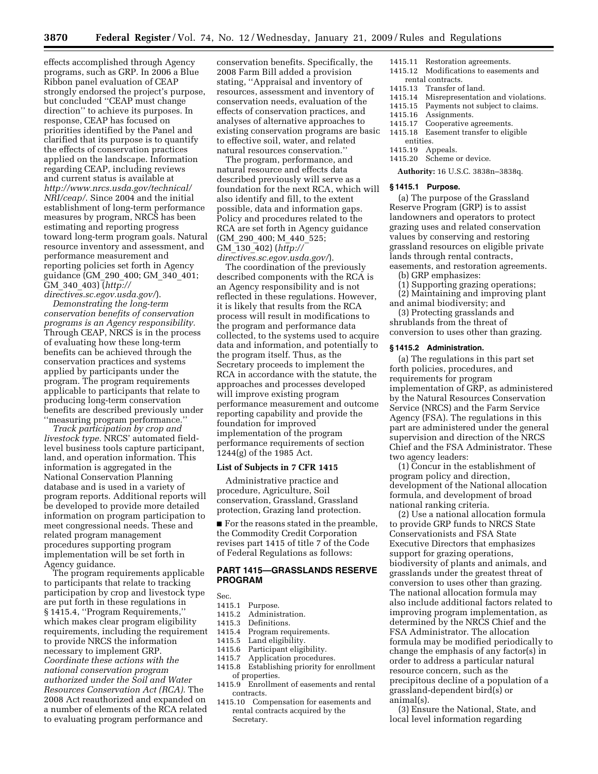effects accomplished through Agency programs, such as GRP. In 2006 a Blue Ribbon panel evaluation of CEAP strongly endorsed the project's purpose, but concluded ''CEAP must change direction'' to achieve its purposes. In response, CEAP has focused on priorities identified by the Panel and clarified that its purpose is to quantify the effects of conservation practices applied on the landscape. Information regarding CEAP, including reviews and current status is available at *http://www.nrcs.usda.gov/technical/ NRI/ceap/*. Since 2004 and the initial establishment of long-term performance measures by program, NRCS has been estimating and reporting progress toward long-term program goals. Natural resource inventory and assessment, and performance measurement and reporting policies set forth in Agency guidance (GM\_290\_400; GM\_340\_401; GM\_340\_403) (*http://* 

*directives.sc.egov.usda.gov/*). *Demonstrating the long-term conservation benefits of conservation programs is an Agency responsibility.*  Through CEAP, NRCS is in the process of evaluating how these long-term benefits can be achieved through the conservation practices and systems applied by participants under the program. The program requirements applicable to participants that relate to producing long-term conservation benefits are described previously under ''measuring program performance.''

*Track participation by crop and livestock type.* NRCS' automated fieldlevel business tools capture participant, land, and operation information. This information is aggregated in the National Conservation Planning database and is used in a variety of program reports. Additional reports will be developed to provide more detailed information on program participation to meet congressional needs. These and related program management procedures supporting program implementation will be set forth in Agency guidance.

The program requirements applicable to participants that relate to tracking participation by crop and livestock type are put forth in these regulations in § 1415.4, ''Program Requirements,'' which makes clear program eligibility requirements, including the requirement to provide NRCS the information necessary to implement GRP. *Coordinate these actions with the national conservation program authorized under the Soil and Water Resources Conservation Act (RCA).* The 2008 Act reauthorized and expanded on a number of elements of the RCA related to evaluating program performance and

conservation benefits. Specifically, the 2008 Farm Bill added a provision stating, ''Appraisal and inventory of resources, assessment and inventory of conservation needs, evaluation of the effects of conservation practices, and analyses of alternative approaches to existing conservation programs are basic to effective soil, water, and related natural resources conservation.''

The program, performance, and natural resource and effects data described previously will serve as a foundation for the next RCA, which will also identify and fill, to the extent possible, data and information gaps. Policy and procedures related to the RCA are set forth in Agency guidance (GM\_290\_400; M\_440\_525; GM\_130\_402) (*http:// directives.sc.egov.usda.gov/*).

The coordination of the previously described components with the RCA is an Agency responsibility and is not reflected in these regulations. However, it is likely that results from the RCA process will result in modifications to the program and performance data collected, to the systems used to acquire data and information, and potentially to the program itself. Thus, as the Secretary proceeds to implement the RCA in accordance with the statute, the approaches and processes developed will improve existing program performance measurement and outcome reporting capability and provide the foundation for improved implementation of the program performance requirements of section 1244(g) of the 1985 Act.

## **List of Subjects in 7 CFR 1415**

Administrative practice and procedure, Agriculture, Soil conservation, Grassland, Grassland protection, Grazing land protection.

■ For the reasons stated in the preamble, the Commodity Credit Corporation revises part 1415 of title 7 of the Code of Federal Regulations as follows:

# **PART 1415—GRASSLANDS RESERVE PROGRAM**

- Sec.<br>1415.1 1415.1 Purpose.<br>1415.2 Adminis
- 1415.2 Administration.<br>1415.3 Definitions
- 1415.3 Definitions.<br>1415.4 Program req
- 1415.4 Program requirements.<br>1415.5 Land eligibility.
- 1415.5 Land eligibility.<br>1415.6 Participant eligi
- 1415.6 Participant eligibility.<br>1415.7 Application procedure
- Application procedures.
- 1415.8 Establishing priority for enrollment of properties.
- 1415.9 Enrollment of easements and rental contracts.
- 1415.10 Compensation for easements and rental contracts acquired by the Secretary.
- 1415.11 Restoration agreements.
- 1415.12 Modifications to easements and rental contracts.<br>1415.13 Transfer o
	- Transfer of land.
- 1415.14 Misrepresentation and violations.<br>1415.15 Payments not subject to claims.
- Payments not subject to claims.
- 1415.16 Assignments.
- 1415.17 Cooperative agreements.
- 1415.18 Easement transfer to eligible entities.<br>1415.19 A
- Appeals.
- 1415.20 Scheme or device.

**Authority:** 16 U.S.C. 3838n–3838q.

#### **§ 1415.1 Purpose.**

(a) The purpose of the Grassland Reserve Program (GRP) is to assist landowners and operators to protect grazing uses and related conservation values by conserving and restoring grassland resources on eligible private lands through rental contracts, easements, and restoration agreements.

(b) GRP emphasizes:

- (1) Supporting grazing operations;
- (2) Maintaining and improving plant and animal biodiversity; and
- (3) Protecting grasslands and shrublands from the threat of conversion to uses other than grazing.

#### **§ 1415.2 Administration.**

(a) The regulations in this part set forth policies, procedures, and requirements for program implementation of GRP, as administered by the Natural Resources Conservation Service (NRCS) and the Farm Service Agency (FSA). The regulations in this part are administered under the general supervision and direction of the NRCS Chief and the FSA Administrator. These two agency leaders:

(1) Concur in the establishment of program policy and direction, development of the National allocation formula, and development of broad national ranking criteria.

(2) Use a national allocation formula to provide GRP funds to NRCS State Conservationists and FSA State Executive Directors that emphasizes support for grazing operations, biodiversity of plants and animals, and grasslands under the greatest threat of conversion to uses other than grazing. The national allocation formula may also include additional factors related to improving program implementation, as determined by the NRCS Chief and the FSA Administrator. The allocation formula may be modified periodically to change the emphasis of any factor(s) in order to address a particular natural resource concern, such as the precipitous decline of a population of a grassland-dependent bird(s) or animal(s).

(3) Ensure the National, State, and local level information regarding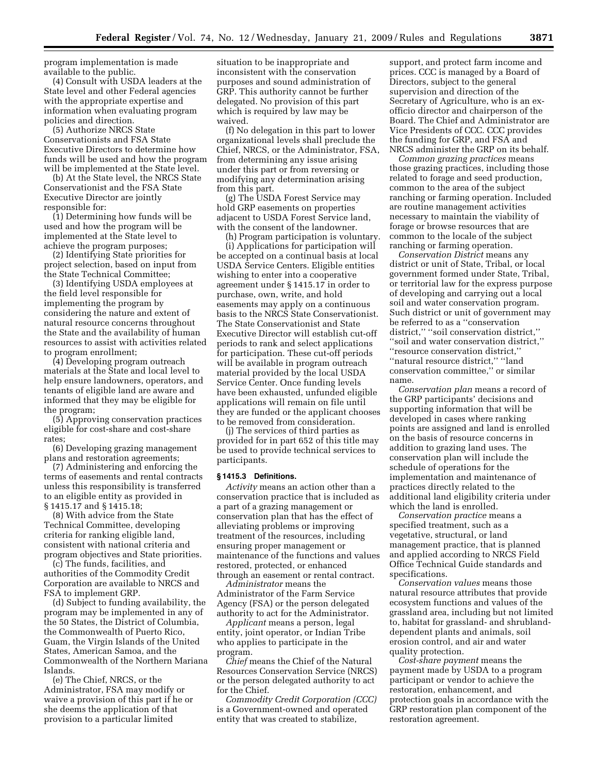program implementation is made available to the public.

(4) Consult with USDA leaders at the State level and other Federal agencies with the appropriate expertise and information when evaluating program policies and direction.

(5) Authorize NRCS State Conservationists and FSA State Executive Directors to determine how funds will be used and how the program will be implemented at the State level.

(b) At the State level, the NRCS State Conservationist and the FSA State Executive Director are jointly responsible for:

(1) Determining how funds will be used and how the program will be implemented at the State level to achieve the program purposes;

(2) Identifying State priorities for project selection, based on input from the State Technical Committee;

(3) Identifying USDA employees at the field level responsible for implementing the program by considering the nature and extent of natural resource concerns throughout the State and the availability of human resources to assist with activities related to program enrollment;

(4) Developing program outreach materials at the State and local level to help ensure landowners, operators, and tenants of eligible land are aware and informed that they may be eligible for the program;

(5) Approving conservation practices eligible for cost-share and cost-share rates;

(6) Developing grazing management plans and restoration agreements;

(7) Administering and enforcing the terms of easements and rental contracts unless this responsibility is transferred to an eligible entity as provided in § 1415.17 and § 1415.18;

(8) With advice from the State Technical Committee, developing criteria for ranking eligible land, consistent with national criteria and program objectives and State priorities.

(c) The funds, facilities, and authorities of the Commodity Credit Corporation are available to NRCS and FSA to implement GRP.

(d) Subject to funding availability, the program may be implemented in any of the 50 States, the District of Columbia, the Commonwealth of Puerto Rico, Guam, the Virgin Islands of the United States, American Samoa, and the Commonwealth of the Northern Mariana Islands.

(e) The Chief, NRCS, or the Administrator, FSA may modify or waive a provision of this part if he or she deems the application of that provision to a particular limited

situation to be inappropriate and inconsistent with the conservation purposes and sound administration of GRP. This authority cannot be further delegated. No provision of this part which is required by law may be waived.

(f) No delegation in this part to lower organizational levels shall preclude the Chief, NRCS, or the Administrator, FSA, from determining any issue arising under this part or from reversing or modifying any determination arising from this part.

(g) The USDA Forest Service may hold GRP easements on properties adjacent to USDA Forest Service land, with the consent of the landowner.

(h) Program participation is voluntary. (i) Applications for participation will be accepted on a continual basis at local USDA Service Centers. Eligible entities wishing to enter into a cooperative agreement under § 1415.17 in order to purchase, own, write, and hold easements may apply on a continuous basis to the NRCS State Conservationist. The State Conservationist and State Executive Director will establish cut-off periods to rank and select applications for participation. These cut-off periods will be available in program outreach material provided by the local USDA Service Center. Once funding levels have been exhausted, unfunded eligible applications will remain on file until they are funded or the applicant chooses to be removed from consideration.

(j) The services of third parties as provided for in part 652 of this title may be used to provide technical services to participants.

#### **§ 1415.3 Definitions.**

*Activity* means an action other than a conservation practice that is included as a part of a grazing management or conservation plan that has the effect of alleviating problems or improving treatment of the resources, including ensuring proper management or maintenance of the functions and values restored, protected, or enhanced through an easement or rental contract.

*Administrator* means the Administrator of the Farm Service Agency (FSA) or the person delegated authority to act for the Administrator.

*Applicant* means a person, legal entity, joint operator, or Indian Tribe who applies to participate in the program.

*Chief* means the Chief of the Natural Resources Conservation Service (NRCS) or the person delegated authority to act for the Chief.

*Commodity Credit Corporation (CCC)*  is a Government-owned and operated entity that was created to stabilize,

support, and protect farm income and prices. CCC is managed by a Board of Directors, subject to the general supervision and direction of the Secretary of Agriculture, who is an exofficio director and chairperson of the Board. The Chief and Administrator are Vice Presidents of CCC. CCC provides the funding for GRP, and FSA and NRCS administer the GRP on its behalf.

*Common grazing practices* means those grazing practices, including those related to forage and seed production, common to the area of the subject ranching or farming operation. Included are routine management activities necessary to maintain the viability of forage or browse resources that are common to the locale of the subject ranching or farming operation.

*Conservation District* means any district or unit of State, Tribal, or local government formed under State, Tribal, or territorial law for the express purpose of developing and carrying out a local soil and water conservation program. Such district or unit of government may be referred to as a ''conservation district,'' ''soil conservation district,'' ''soil and water conservation district,'' ''resource conservation district,'' ''natural resource district,'' ''land conservation committee,'' or similar name.

*Conservation plan* means a record of the GRP participants' decisions and supporting information that will be developed in cases where ranking points are assigned and land is enrolled on the basis of resource concerns in addition to grazing land uses. The conservation plan will include the schedule of operations for the implementation and maintenance of practices directly related to the additional land eligibility criteria under which the land is enrolled.

*Conservation practice* means a specified treatment, such as a vegetative, structural, or land management practice, that is planned and applied according to NRCS Field Office Technical Guide standards and specifications.

*Conservation values* means those natural resource attributes that provide ecosystem functions and values of the grassland area, including but not limited to, habitat for grassland- and shrublanddependent plants and animals, soil erosion control, and air and water quality protection.

*Cost-share payment* means the payment made by USDA to a program participant or vendor to achieve the restoration, enhancement, and protection goals in accordance with the GRP restoration plan component of the restoration agreement.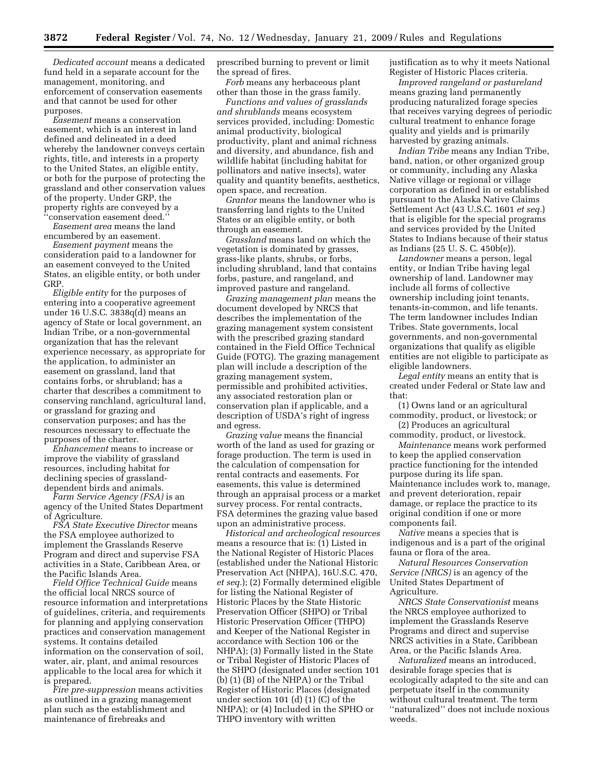*Dedicated account* means a dedicated fund held in a separate account for the management, monitoring, and enforcement of conservation easements and that cannot be used for other purposes.

*Easement* means a conservation easement, which is an interest in land defined and delineated in a deed whereby the landowner conveys certain rights, title, and interests in a property to the United States, an eligible entity, or both for the purpose of protecting the grassland and other conservation values of the property. Under GRP, the property rights are conveyed by a ''conservation easement deed.''

*Easement area* means the land encumbered by an easement.

*Easement payment* means the consideration paid to a landowner for an easement conveyed to the United States, an eligible entity, or both under GRP.

*Eligible entity* for the purposes of entering into a cooperative agreement under 16 U.S.C. 3838q(d) means an agency of State or local government, an Indian Tribe, or a non-governmental organization that has the relevant experience necessary, as appropriate for the application, to administer an easement on grassland, land that contains forbs, or shrubland; has a charter that describes a commitment to conserving ranchland, agricultural land, or grassland for grazing and conservation purposes; and has the resources necessary to effectuate the purposes of the charter.

*Enhancement* means to increase or improve the viability of grassland resources, including habitat for declining species of grasslanddependent birds and animals.

*Farm Service Agency (FSA)* is an agency of the United States Department of Agriculture.

*FSA State Executive Director* means the FSA employee authorized to implement the Grasslands Reserve Program and direct and supervise FSA activities in a State, Caribbean Area, or the Pacific Islands Area.

*Field Office Technical Guide* means the official local NRCS source of resource information and interpretations of guidelines, criteria, and requirements for planning and applying conservation practices and conservation management systems. It contains detailed information on the conservation of soil, water, air, plant, and animal resources applicable to the local area for which it is prepared.

*Fire pre-suppression* means activities as outlined in a grazing management plan such as the establishment and maintenance of firebreaks and

prescribed burning to prevent or limit the spread of fires.

*Forb* means any herbaceous plant other than those in the grass family.

*Functions and values of grasslands and shrublands* means ecosystem services provided, including: Domestic animal productivity, biological productivity, plant and animal richness and diversity, and abundance, fish and wildlife habitat (including habitat for pollinators and native insects), water quality and quantity benefits, aesthetics, open space, and recreation.

*Grantor* means the landowner who is transferring land rights to the United States or an eligible entity, or both through an easement.

*Grassland* means land on which the vegetation is dominated by grasses, grass-like plants, shrubs, or forbs, including shrubland, land that contains forbs, pasture, and rangeland, and improved pasture and rangeland.

*Grazing management plan* means the document developed by NRCS that describes the implementation of the grazing management system consistent with the prescribed grazing standard contained in the Field Office Technical Guide (FOTG). The grazing management plan will include a description of the grazing management system, permissible and prohibited activities, any associated restoration plan or conservation plan if applicable, and a description of USDA's right of ingress and egress.

*Grazing value* means the financial worth of the land as used for grazing or forage production. The term is used in the calculation of compensation for rental contracts and easements. For easements, this value is determined through an appraisal process or a market survey process. For rental contracts, FSA determines the grazing value based upon an administrative process.

*Historical and archeological resources*  means a resource that is: (1) Listed in the National Register of Historic Places (established under the National Historic Preservation Act (NHPA), 16U.S.C. 470, *et seq.*); (2) Formally determined eligible for listing the National Register of Historic Places by the State Historic Preservation Officer (SHPO) or Tribal Historic Preservation Officer (THPO) and Keeper of the National Register in accordance with Section 106 or the NHPA); (3) Formally listed in the State or Tribal Register of Historic Places of the SHPO (designated under section 101 (b) (1) (B) of the NHPA) or the Tribal Register of Historic Places (designated under section 101 (d) (1) (C) of the NHPA); or (4) Included in the SPHO or THPO inventory with written

justification as to why it meets National Register of Historic Places criteria.

*Improved rangeland or pastureland*  means grazing land permanently producing naturalized forage species that receives varying degrees of periodic cultural treatment to enhance forage quality and yields and is primarily harvested by grazing animals.

*Indian Tribe* means any Indian Tribe, band, nation, or other organized group or community, including any Alaska Native village or regional or village corporation as defined in or established pursuant to the Alaska Native Claims Settlement Act (43 U.S.C. 1601 *et seq.*) that is eligible for the special programs and services provided by the United States to Indians because of their status as Indians (25 U. S. C. 450b(e)).

*Landowner* means a person, legal entity, or Indian Tribe having legal ownership of land. Landowner may include all forms of collective ownership including joint tenants, tenants-in-common, and life tenants. The term landowner includes Indian Tribes. State governments, local governments, and non-governmental organizations that qualify as eligible entities are not eligible to participate as eligible landowners.

*Legal entity* means an entity that is created under Federal or State law and that:

(1) Owns land or an agricultural commodity, product, or livestock; or

(2) Produces an agricultural commodity, product, or livestock.

*Maintenance* means work performed to keep the applied conservation practice functioning for the intended purpose during its life span. Maintenance includes work to, manage, and prevent deterioration, repair damage, or replace the practice to its original condition if one or more components fail.

*Native* means a species that is indigenous and is a part of the original fauna or flora of the area.

*Natural Resources Conservation Service (NRCS)* is an agency of the United States Department of Agriculture.

*NRCS State Conservationist* means the NRCS employee authorized to implement the Grasslands Reserve Programs and direct and supervise NRCS activities in a State, Caribbean Area, or the Pacific Islands Area.

*Naturalized* means an introduced, desirable forage species that is ecologically adapted to the site and can perpetuate itself in the community without cultural treatment. The term ''naturalized'' does not include noxious weeds.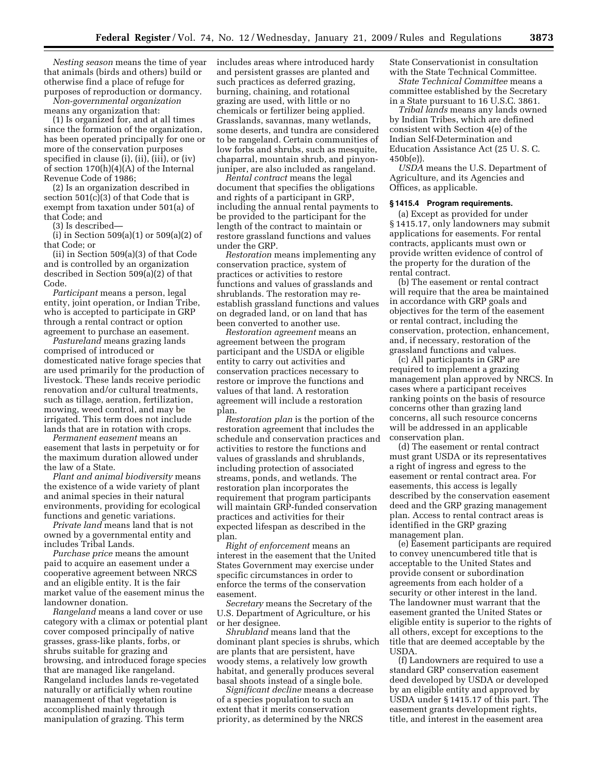*Nesting season* means the time of year that animals (birds and others) build or otherwise find a place of refuge for purposes of reproduction or dormancy.

*Non-governmental organization*  means any organization that:

(1) Is organized for, and at all times since the formation of the organization, has been operated principally for one or more of the conservation purposes specified in clause (i), (ii), (iii), or (iv) of section 170(h)(4)(A) of the Internal Revenue Code of 1986;

(2) Is an organization described in section 501(c)(3) of that Code that is exempt from taxation under 501(a) of that Code; and

(3) Is described—

(i) in Section 509(a)(1) or 509(a)(2) of that Code; or

(ii) in Section 509(a)(3) of that Code and is controlled by an organization described in Section 509(a)(2) of that Code.

*Participant* means a person, legal entity, joint operation, or Indian Tribe, who is accepted to participate in GRP through a rental contract or option agreement to purchase an easement.

*Pastureland* means grazing lands comprised of introduced or domesticated native forage species that are used primarily for the production of livestock. These lands receive periodic renovation and/or cultural treatments, such as tillage, aeration, fertilization, mowing, weed control, and may be irrigated. This term does not include lands that are in rotation with crops.

*Permanent easement* means an easement that lasts in perpetuity or for the maximum duration allowed under the law of a State.

*Plant and animal biodiversity* means the existence of a wide variety of plant and animal species in their natural environments, providing for ecological functions and genetic variations.

*Private land* means land that is not owned by a governmental entity and includes Tribal Lands.

*Purchase price* means the amount paid to acquire an easement under a cooperative agreement between NRCS and an eligible entity. It is the fair market value of the easement minus the landowner donation.

*Rangeland* means a land cover or use category with a climax or potential plant cover composed principally of native grasses, grass-like plants, forbs, or shrubs suitable for grazing and browsing, and introduced forage species that are managed like rangeland. Rangeland includes lands re-vegetated naturally or artificially when routine management of that vegetation is accomplished mainly through manipulation of grazing. This term

includes areas where introduced hardy and persistent grasses are planted and such practices as deferred grazing, burning, chaining, and rotational grazing are used, with little or no chemicals or fertilizer being applied. Grasslands, savannas, many wetlands, some deserts, and tundra are considered to be rangeland. Certain communities of low forbs and shrubs, such as mesquite, chaparral, mountain shrub, and pinyonjuniper, are also included as rangeland.

*Rental contract* means the legal document that specifies the obligations and rights of a participant in GRP, including the annual rental payments to be provided to the participant for the length of the contract to maintain or restore grassland functions and values under the GRP.

*Restoration* means implementing any conservation practice, system of practices or activities to restore functions and values of grasslands and shrublands. The restoration may reestablish grassland functions and values on degraded land, or on land that has been converted to another use.

*Restoration agreement* means an agreement between the program participant and the USDA or eligible entity to carry out activities and conservation practices necessary to restore or improve the functions and values of that land. A restoration agreement will include a restoration plan.

*Restoration plan* is the portion of the restoration agreement that includes the schedule and conservation practices and activities to restore the functions and values of grasslands and shrublands, including protection of associated streams, ponds, and wetlands. The restoration plan incorporates the requirement that program participants will maintain GRP-funded conservation practices and activities for their expected lifespan as described in the plan.

*Right of enforcement* means an interest in the easement that the United States Government may exercise under specific circumstances in order to enforce the terms of the conservation easement.

*Secretary* means the Secretary of the U.S. Department of Agriculture, or his or her designee.

*Shrubland* means land that the dominant plant species is shrubs, which are plants that are persistent, have woody stems, a relatively low growth habitat, and generally produces several basal shoots instead of a single bole.

*Significant decline* means a decrease of a species population to such an extent that it merits conservation priority, as determined by the NRCS

State Conservationist in consultation with the State Technical Committee.

*State Technical Committee* means a committee established by the Secretary in a State pursuant to 16 U.S.C. 3861.

*Tribal lands* means any lands owned by Indian Tribes, which are defined consistent with Section 4(e) of the Indian Self-Determination and Education Assistance Act (25 U. S. C. 450b(e)).

*USDA* means the U.S. Department of Agriculture, and its Agencies and Offices, as applicable.

## **§ 1415.4 Program requirements.**

(a) Except as provided for under § 1415.17, only landowners may submit applications for easements. For rental contracts, applicants must own or provide written evidence of control of the property for the duration of the rental contract.

(b) The easement or rental contract will require that the area be maintained in accordance with GRP goals and objectives for the term of the easement or rental contract, including the conservation, protection, enhancement, and, if necessary, restoration of the grassland functions and values.

(c) All participants in GRP are required to implement a grazing management plan approved by NRCS. In cases where a participant receives ranking points on the basis of resource concerns other than grazing land concerns, all such resource concerns will be addressed in an applicable conservation plan.

(d) The easement or rental contract must grant USDA or its representatives a right of ingress and egress to the easement or rental contract area. For easements, this access is legally described by the conservation easement deed and the GRP grazing management plan. Access to rental contract areas is identified in the GRP grazing management plan.

(e) Easement participants are required to convey unencumbered title that is acceptable to the United States and provide consent or subordination agreements from each holder of a security or other interest in the land. The landowner must warrant that the easement granted the United States or eligible entity is superior to the rights of all others, except for exceptions to the title that are deemed acceptable by the USDA.

(f) Landowners are required to use a standard GRP conservation easement deed developed by USDA or developed by an eligible entity and approved by USDA under § 1415.17 of this part. The easement grants development rights, title, and interest in the easement area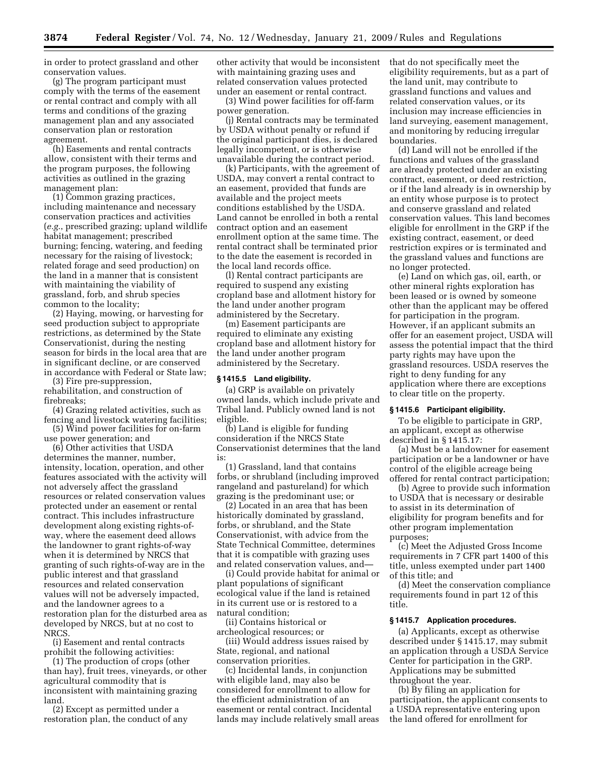in order to protect grassland and other conservation values.

(g) The program participant must comply with the terms of the easement or rental contract and comply with all terms and conditions of the grazing management plan and any associated conservation plan or restoration agreement.

(h) Easements and rental contracts allow, consistent with their terms and the program purposes, the following activities as outlined in the grazing management plan:

(1) Common grazing practices, including maintenance and necessary conservation practices and activities (*e.g.*, prescribed grazing; upland wildlife habitat management; prescribed burning; fencing, watering, and feeding necessary for the raising of livestock; related forage and seed production) on the land in a manner that is consistent with maintaining the viability of grassland, forb, and shrub species common to the locality;

(2) Haying, mowing, or harvesting for seed production subject to appropriate restrictions, as determined by the State Conservationist, during the nesting season for birds in the local area that are in significant decline, or are conserved in accordance with Federal or State law;

(3) Fire pre-suppression, rehabilitation, and construction of firebreaks;

(4) Grazing related activities, such as fencing and livestock watering facilities;

(5) Wind power facilities for on-farm use power generation; and

(6) Other activities that USDA determines the manner, number, intensity, location, operation, and other features associated with the activity will not adversely affect the grassland resources or related conservation values protected under an easement or rental contract. This includes infrastructure development along existing rights-ofway, where the easement deed allows the landowner to grant rights-of-way when it is determined by NRCS that granting of such rights-of-way are in the public interest and that grassland resources and related conservation values will not be adversely impacted, and the landowner agrees to a restoration plan for the disturbed area as developed by NRCS, but at no cost to NRCS.

(i) Easement and rental contracts prohibit the following activities:

(1) The production of crops (other than hay), fruit trees, vineyards, or other agricultural commodity that is inconsistent with maintaining grazing land.

(2) Except as permitted under a restoration plan, the conduct of any other activity that would be inconsistent with maintaining grazing uses and related conservation values protected under an easement or rental contract.

(3) Wind power facilities for off-farm power generation.

(j) Rental contracts may be terminated by USDA without penalty or refund if the original participant dies, is declared legally incompetent, or is otherwise unavailable during the contract period.

(k) Participants, with the agreement of USDA, may convert a rental contract to an easement, provided that funds are available and the project meets conditions established by the USDA. Land cannot be enrolled in both a rental contract option and an easement enrollment option at the same time. The rental contract shall be terminated prior to the date the easement is recorded in the local land records office.

(l) Rental contract participants are required to suspend any existing cropland base and allotment history for the land under another program administered by the Secretary.

(m) Easement participants are required to eliminate any existing cropland base and allotment history for the land under another program administered by the Secretary.

# **§ 1415.5 Land eligibility.**

(a) GRP is available on privately owned lands, which include private and Tribal land. Publicly owned land is not eligible.

(b) Land is eligible for funding consideration if the NRCS State Conservationist determines that the land is:

(1) Grassland, land that contains forbs, or shrubland (including improved rangeland and pastureland) for which grazing is the predominant use; or

(2) Located in an area that has been historically dominated by grassland, forbs, or shrubland, and the State Conservationist, with advice from the State Technical Committee, determines that it is compatible with grazing uses and related conservation values, and—

(i) Could provide habitat for animal or plant populations of significant ecological value if the land is retained in its current use or is restored to a natural condition;

(ii) Contains historical or archeological resources; or

(iii) Would address issues raised by State, regional, and national conservation priorities.

(c) Incidental lands, in conjunction with eligible land, may also be considered for enrollment to allow for the efficient administration of an easement or rental contract. Incidental lands may include relatively small areas that do not specifically meet the eligibility requirements, but as a part of the land unit, may contribute to grassland functions and values and related conservation values, or its inclusion may increase efficiencies in land surveying, easement management, and monitoring by reducing irregular boundaries.

(d) Land will not be enrolled if the functions and values of the grassland are already protected under an existing contract, easement, or deed restriction, or if the land already is in ownership by an entity whose purpose is to protect and conserve grassland and related conservation values. This land becomes eligible for enrollment in the GRP if the existing contract, easement, or deed restriction expires or is terminated and the grassland values and functions are no longer protected.

(e) Land on which gas, oil, earth, or other mineral rights exploration has been leased or is owned by someone other than the applicant may be offered for participation in the program. However, if an applicant submits an offer for an easement project, USDA will assess the potential impact that the third party rights may have upon the grassland resources. USDA reserves the right to deny funding for any application where there are exceptions to clear title on the property.

## **§ 1415.6 Participant eligibility.**

To be eligible to participate in GRP, an applicant, except as otherwise described in § 1415.17:

(a) Must be a landowner for easement participation or be a landowner or have control of the eligible acreage being offered for rental contract participation;

(b) Agree to provide such information to USDA that is necessary or desirable to assist in its determination of eligibility for program benefits and for other program implementation purposes;

(c) Meet the Adjusted Gross Income requirements in 7 CFR part 1400 of this title, unless exempted under part 1400 of this title; and

(d) Meet the conservation compliance requirements found in part 12 of this title.

#### **§ 1415.7 Application procedures.**

(a) Applicants, except as otherwise described under § 1415.17, may submit an application through a USDA Service Center for participation in the GRP. Applications may be submitted throughout the year.

(b) By filing an application for participation, the applicant consents to a USDA representative entering upon the land offered for enrollment for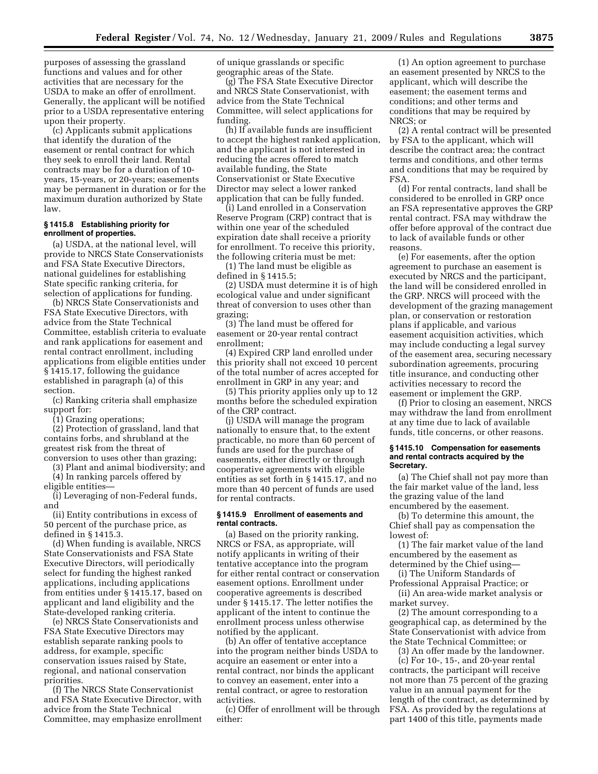purposes of assessing the grassland functions and values and for other activities that are necessary for the USDA to make an offer of enrollment. Generally, the applicant will be notified prior to a USDA representative entering upon their property.

(c) Applicants submit applications that identify the duration of the easement or rental contract for which they seek to enroll their land. Rental contracts may be for a duration of 10 years, 15-years, or 20-years; easements may be permanent in duration or for the maximum duration authorized by State law.

## **§ 1415.8 Establishing priority for enrollment of properties.**

(a) USDA, at the national level, will provide to NRCS State Conservationists and FSA State Executive Directors, national guidelines for establishing State specific ranking criteria, for selection of applications for funding.

(b) NRCS State Conservationists and FSA State Executive Directors, with advice from the State Technical Committee, establish criteria to evaluate and rank applications for easement and rental contract enrollment, including applications from eligible entities under § 1415.17, following the guidance established in paragraph (a) of this section.

(c) Ranking criteria shall emphasize support for:

(1) Grazing operations;

(2) Protection of grassland, land that contains forbs, and shrubland at the greatest risk from the threat of conversion to uses other than grazing;

(3) Plant and animal biodiversity; and

(4) In ranking parcels offered by

eligible entities—

(i) Leveraging of non-Federal funds, and

(ii) Entity contributions in excess of 50 percent of the purchase price, as defined in § 1415.3.

(d) When funding is available, NRCS State Conservationists and FSA State Executive Directors, will periodically select for funding the highest ranked applications, including applications from entities under § 1415.17, based on applicant and land eligibility and the State-developed ranking criteria.

(e) NRCS State Conservationists and FSA State Executive Directors may establish separate ranking pools to address, for example, specific conservation issues raised by State, regional, and national conservation priorities.

(f) The NRCS State Conservationist and FSA State Executive Director, with advice from the State Technical Committee, may emphasize enrollment of unique grasslands or specific geographic areas of the State.

(g) The FSA State Executive Director and NRCS State Conservationist, with advice from the State Technical Committee, will select applications for funding.

(h) If available funds are insufficient to accept the highest ranked application, and the applicant is not interested in reducing the acres offered to match available funding, the State Conservationist or State Executive Director may select a lower ranked application that can be fully funded.

(i) Land enrolled in a Conservation Reserve Program (CRP) contract that is within one year of the scheduled expiration date shall receive a priority for enrollment. To receive this priority, the following criteria must be met:

(1) The land must be eligible as defined in § 1415.5;

(2) USDA must determine it is of high ecological value and under significant threat of conversion to uses other than grazing;

(3) The land must be offered for easement or 20-year rental contract enrollment;

(4) Expired CRP land enrolled under this priority shall not exceed 10 percent of the total number of acres accepted for enrollment in GRP in any year; and

(5) This priority applies only up to 12 months before the scheduled expiration of the CRP contract.

(j) USDA will manage the program nationally to ensure that, to the extent practicable, no more than 60 percent of funds are used for the purchase of easements, either directly or through cooperative agreements with eligible entities as set forth in § 1415.17, and no more than 40 percent of funds are used for rental contracts.

# **§ 1415.9 Enrollment of easements and rental contracts.**

(a) Based on the priority ranking, NRCS or FSA, as appropriate, will notify applicants in writing of their tentative acceptance into the program for either rental contract or conservation easement options. Enrollment under cooperative agreements is described under § 1415.17. The letter notifies the applicant of the intent to continue the enrollment process unless otherwise notified by the applicant.

(b) An offer of tentative acceptance into the program neither binds USDA to acquire an easement or enter into a rental contract, nor binds the applicant to convey an easement, enter into a rental contract, or agree to restoration activities.

(c) Offer of enrollment will be through either:

(1) An option agreement to purchase an easement presented by NRCS to the applicant, which will describe the easement; the easement terms and conditions; and other terms and conditions that may be required by  $NRCS$ ; or

(2) A rental contract will be presented by FSA to the applicant, which will describe the contract area; the contract terms and conditions, and other terms and conditions that may be required by FSA.

(d) For rental contracts, land shall be considered to be enrolled in GRP once an FSA representative approves the GRP rental contract. FSA may withdraw the offer before approval of the contract due to lack of available funds or other reasons.

(e) For easements, after the option agreement to purchase an easement is executed by NRCS and the participant, the land will be considered enrolled in the GRP. NRCS will proceed with the development of the grazing management plan, or conservation or restoration plans if applicable, and various easement acquisition activities, which may include conducting a legal survey of the easement area, securing necessary subordination agreements, procuring title insurance, and conducting other activities necessary to record the easement or implement the GRP.

(f) Prior to closing an easement, NRCS may withdraw the land from enrollment at any time due to lack of available funds, title concerns, or other reasons.

#### **§ 1415.10 Compensation for easements and rental contracts acquired by the Secretary.**

(a) The Chief shall not pay more than the fair market value of the land, less the grazing value of the land encumbered by the easement.

(b) To determine this amount, the Chief shall pay as compensation the lowest of:

(1) The fair market value of the land encumbered by the easement as determined by the Chief using—

(i) The Uniform Standards of Professional Appraisal Practice; or

(ii) An area-wide market analysis or market survey.

(2) The amount corresponding to a geographical cap, as determined by the State Conservationist with advice from the State Technical Committee; or

(3) An offer made by the landowner.

(c) For 10-, 15-, and 20-year rental contracts, the participant will receive not more than 75 percent of the grazing value in an annual payment for the length of the contract, as determined by FSA. As provided by the regulations at part 1400 of this title, payments made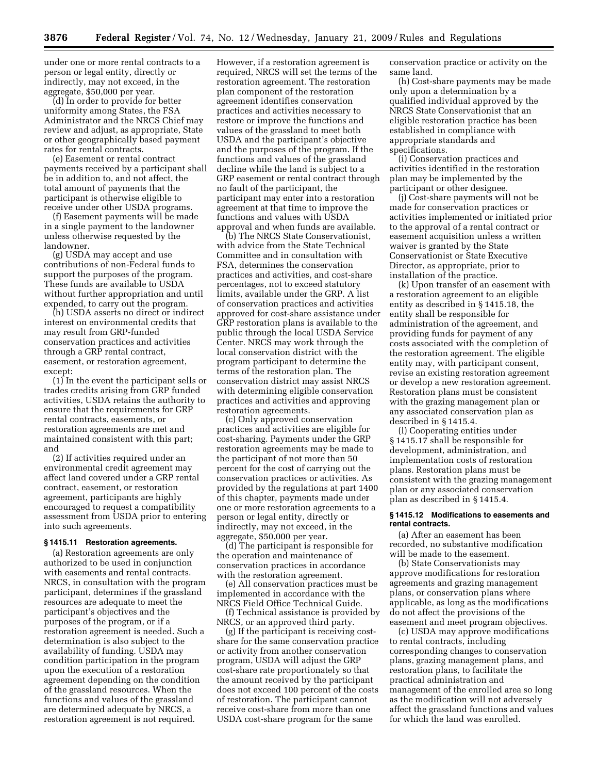under one or more rental contracts to a person or legal entity, directly or indirectly, may not exceed, in the aggregate, \$50,000 per year.

(d) In order to provide for better uniformity among States, the FSA Administrator and the NRCS Chief may review and adjust, as appropriate, State or other geographically based payment rates for rental contracts.

(e) Easement or rental contract payments received by a participant shall be in addition to, and not affect, the total amount of payments that the participant is otherwise eligible to receive under other USDA programs.

(f) Easement payments will be made in a single payment to the landowner unless otherwise requested by the landowner.

(g) USDA may accept and use contributions of non-Federal funds to support the purposes of the program. These funds are available to USDA without further appropriation and until expended, to carry out the program.

(h) USDA asserts no direct or indirect interest on environmental credits that may result from GRP-funded conservation practices and activities through a GRP rental contract, easement, or restoration agreement, except:

(1) In the event the participant sells or trades credits arising from GRP funded activities, USDA retains the authority to ensure that the requirements for GRP rental contracts, easements, or restoration agreements are met and maintained consistent with this part; and

(2) If activities required under an environmental credit agreement may affect land covered under a GRP rental contract, easement, or restoration agreement, participants are highly encouraged to request a compatibility assessment from USDA prior to entering into such agreements.

## **§ 1415.11 Restoration agreements.**

(a) Restoration agreements are only authorized to be used in conjunction with easements and rental contracts. NRCS, in consultation with the program participant, determines if the grassland resources are adequate to meet the participant's objectives and the purposes of the program, or if a restoration agreement is needed. Such a determination is also subject to the availability of funding. USDA may condition participation in the program upon the execution of a restoration agreement depending on the condition of the grassland resources. When the functions and values of the grassland are determined adequate by NRCS, a restoration agreement is not required.

However, if a restoration agreement is required, NRCS will set the terms of the restoration agreement. The restoration plan component of the restoration agreement identifies conservation practices and activities necessary to restore or improve the functions and values of the grassland to meet both USDA and the participant's objective and the purposes of the program. If the functions and values of the grassland decline while the land is subject to a GRP easement or rental contract through no fault of the participant, the participant may enter into a restoration agreement at that time to improve the functions and values with USDA approval and when funds are available.

(b) The NRCS State Conservationist, with advice from the State Technical Committee and in consultation with FSA, determines the conservation practices and activities, and cost-share percentages, not to exceed statutory limits, available under the GRP. A list of conservation practices and activities approved for cost-share assistance under GRP restoration plans is available to the public through the local USDA Service Center. NRCS may work through the local conservation district with the program participant to determine the terms of the restoration plan. The conservation district may assist NRCS with determining eligible conservation practices and activities and approving restoration agreements.

(c) Only approved conservation practices and activities are eligible for cost-sharing. Payments under the GRP restoration agreements may be made to the participant of not more than 50 percent for the cost of carrying out the conservation practices or activities. As provided by the regulations at part 1400 of this chapter, payments made under one or more restoration agreements to a person or legal entity, directly or indirectly, may not exceed, in the aggregate, \$50,000 per year.

(d) The participant is responsible for the operation and maintenance of conservation practices in accordance with the restoration agreement.

(e) All conservation practices must be implemented in accordance with the NRCS Field Office Technical Guide.

(f) Technical assistance is provided by NRCS, or an approved third party.

(g) If the participant is receiving costshare for the same conservation practice or activity from another conservation program, USDA will adjust the GRP cost-share rate proportionately so that the amount received by the participant does not exceed 100 percent of the costs of restoration. The participant cannot receive cost-share from more than one USDA cost-share program for the same

conservation practice or activity on the same land.

(h) Cost-share payments may be made only upon a determination by a qualified individual approved by the NRCS State Conservationist that an eligible restoration practice has been established in compliance with appropriate standards and specifications.

(i) Conservation practices and activities identified in the restoration plan may be implemented by the participant or other designee.

(j) Cost-share payments will not be made for conservation practices or activities implemented or initiated prior to the approval of a rental contract or easement acquisition unless a written waiver is granted by the State Conservationist or State Executive Director, as appropriate, prior to installation of the practice.

(k) Upon transfer of an easement with a restoration agreement to an eligible entity as described in § 1415.18, the entity shall be responsible for administration of the agreement, and providing funds for payment of any costs associated with the completion of the restoration agreement. The eligible entity may, with participant consent, revise an existing restoration agreement or develop a new restoration agreement. Restoration plans must be consistent with the grazing management plan or any associated conservation plan as described in § 1415.4.

(l) Cooperating entities under § 1415.17 shall be responsible for development, administration, and implementation costs of restoration plans. Restoration plans must be consistent with the grazing management plan or any associated conservation plan as described in § 1415.4.

#### **§ 1415.12 Modifications to easements and rental contracts.**

(a) After an easement has been recorded, no substantive modification will be made to the easement.

(b) State Conservationists may approve modifications for restoration agreements and grazing management plans, or conservation plans where applicable, as long as the modifications do not affect the provisions of the easement and meet program objectives.

(c) USDA may approve modifications to rental contracts, including corresponding changes to conservation plans, grazing management plans, and restoration plans, to facilitate the practical administration and management of the enrolled area so long as the modification will not adversely affect the grassland functions and values for which the land was enrolled.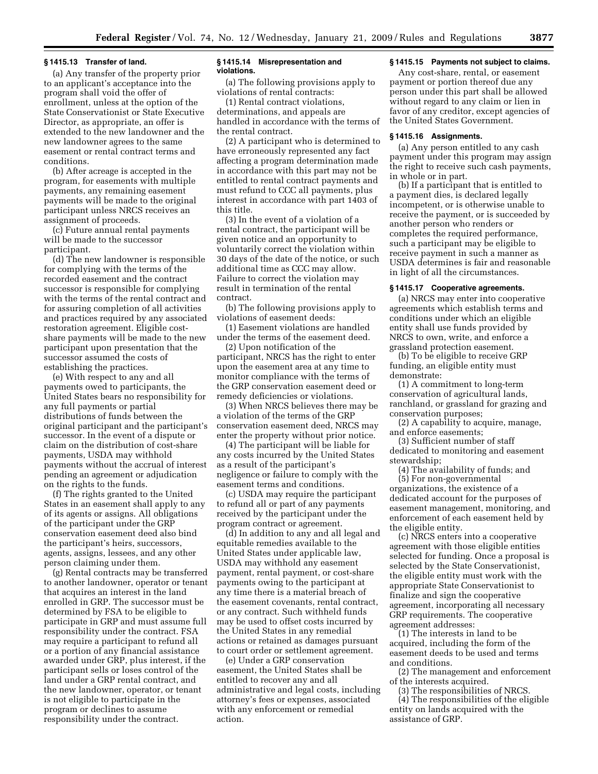## **§ 1415.13 Transfer of land.**

(a) Any transfer of the property prior to an applicant's acceptance into the program shall void the offer of enrollment, unless at the option of the State Conservationist or State Executive Director, as appropriate, an offer is extended to the new landowner and the new landowner agrees to the same easement or rental contract terms and conditions.

(b) After acreage is accepted in the program, for easements with multiple payments, any remaining easement payments will be made to the original participant unless NRCS receives an assignment of proceeds.

(c) Future annual rental payments will be made to the successor participant.

(d) The new landowner is responsible for complying with the terms of the recorded easement and the contract successor is responsible for complying with the terms of the rental contract and for assuring completion of all activities and practices required by any associated restoration agreement. Eligible costshare payments will be made to the new participant upon presentation that the successor assumed the costs of establishing the practices.

(e) With respect to any and all payments owed to participants, the United States bears no responsibility for any full payments or partial distributions of funds between the original participant and the participant's successor. In the event of a dispute or claim on the distribution of cost-share payments, USDA may withhold payments without the accrual of interest pending an agreement or adjudication on the rights to the funds.

(f) The rights granted to the United States in an easement shall apply to any of its agents or assigns. All obligations of the participant under the GRP conservation easement deed also bind the participant's heirs, successors, agents, assigns, lessees, and any other person claiming under them.

(g) Rental contracts may be transferred to another landowner, operator or tenant that acquires an interest in the land enrolled in GRP. The successor must be determined by FSA to be eligible to participate in GRP and must assume full responsibility under the contract. FSA may require a participant to refund all or a portion of any financial assistance awarded under GRP, plus interest, if the participant sells or loses control of the land under a GRP rental contract, and the new landowner, operator, or tenant is not eligible to participate in the program or declines to assume responsibility under the contract.

## **§ 1415.14 Misrepresentation and violations.**

(a) The following provisions apply to violations of rental contracts:

(1) Rental contract violations, determinations, and appeals are handled in accordance with the terms of the rental contract.

(2) A participant who is determined to have erroneously represented any fact affecting a program determination made in accordance with this part may not be entitled to rental contract payments and must refund to CCC all payments, plus interest in accordance with part 1403 of this title.

(3) In the event of a violation of a rental contract, the participant will be given notice and an opportunity to voluntarily correct the violation within 30 days of the date of the notice, or such additional time as CCC may allow. Failure to correct the violation may result in termination of the rental contract.

(b) The following provisions apply to violations of easement deeds:

(1) Easement violations are handled under the terms of the easement deed.

(2) Upon notification of the participant, NRCS has the right to enter upon the easement area at any time to monitor compliance with the terms of the GRP conservation easement deed or remedy deficiencies or violations.

(3) When NRCS believes there may be a violation of the terms of the GRP conservation easement deed, NRCS may enter the property without prior notice.

(4) The participant will be liable for any costs incurred by the United States as a result of the participant's negligence or failure to comply with the easement terms and conditions.

(c) USDA may require the participant to refund all or part of any payments received by the participant under the program contract or agreement.

(d) In addition to any and all legal and equitable remedies available to the United States under applicable law, USDA may withhold any easement payment, rental payment, or cost-share payments owing to the participant at any time there is a material breach of the easement covenants, rental contract, or any contract. Such withheld funds may be used to offset costs incurred by the United States in any remedial actions or retained as damages pursuant to court order or settlement agreement.

(e) Under a GRP conservation easement, the United States shall be entitled to recover any and all administrative and legal costs, including attorney's fees or expenses, associated with any enforcement or remedial action.

## **§ 1415.15 Payments not subject to claims.**

Any cost-share, rental, or easement payment or portion thereof due any person under this part shall be allowed without regard to any claim or lien in favor of any creditor, except agencies of the United States Government.

#### **§ 1415.16 Assignments.**

(a) Any person entitled to any cash payment under this program may assign the right to receive such cash payments, in whole or in part.

(b) If a participant that is entitled to a payment dies, is declared legally incompetent, or is otherwise unable to receive the payment, or is succeeded by another person who renders or completes the required performance, such a participant may be eligible to receive payment in such a manner as USDA determines is fair and reasonable in light of all the circumstances.

## **§ 1415.17 Cooperative agreements.**

(a) NRCS may enter into cooperative agreements which establish terms and conditions under which an eligible entity shall use funds provided by NRCS to own, write, and enforce a grassland protection easement.

(b) To be eligible to receive GRP funding, an eligible entity must demonstrate:

(1) A commitment to long-term conservation of agricultural lands, ranchland, or grassland for grazing and conservation purposes;

(2) A capability to acquire, manage, and enforce easements;

(3) Sufficient number of staff dedicated to monitoring and easement stewardship;

(4) The availability of funds; and

(5) For non-governmental organizations, the existence of a dedicated account for the purposes of easement management, monitoring, and enforcement of each easement held by the eligible entity.

(c) NRCS enters into a cooperative agreement with those eligible entities selected for funding. Once a proposal is selected by the State Conservationist, the eligible entity must work with the appropriate State Conservationist to finalize and sign the cooperative agreement, incorporating all necessary GRP requirements. The cooperative agreement addresses:

(1) The interests in land to be acquired, including the form of the easement deeds to be used and terms and conditions.

(2) The management and enforcement of the interests acquired.

(3) The responsibilities of NRCS.

(4) The responsibilities of the eligible entity on lands acquired with the assistance of GRP.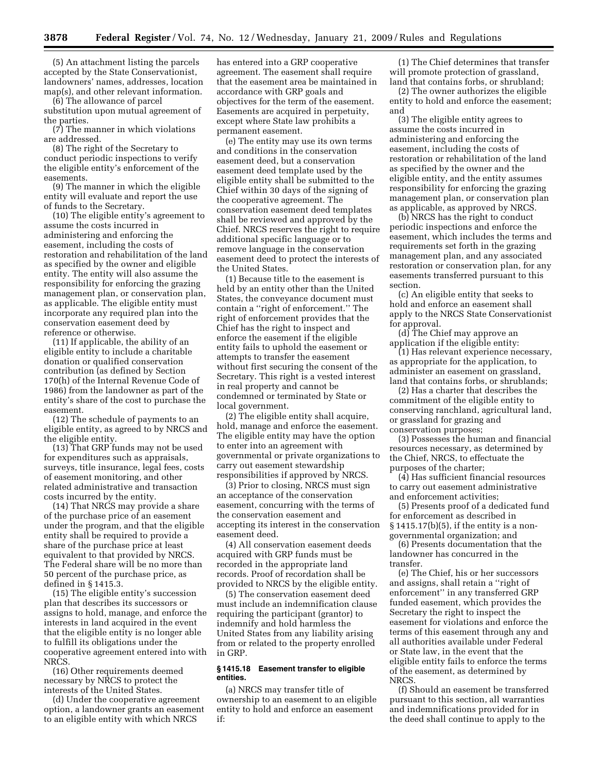(5) An attachment listing the parcels accepted by the State Conservationist, landowners' names, addresses, location map(s), and other relevant information.

(6) The allowance of parcel substitution upon mutual agreement of the parties.

(7) The manner in which violations are addressed.

(8) The right of the Secretary to conduct periodic inspections to verify the eligible entity's enforcement of the easements.

(9) The manner in which the eligible entity will evaluate and report the use of funds to the Secretary.

(10) The eligible entity's agreement to assume the costs incurred in administering and enforcing the easement, including the costs of restoration and rehabilitation of the land as specified by the owner and eligible entity. The entity will also assume the responsibility for enforcing the grazing management plan, or conservation plan, as applicable. The eligible entity must incorporate any required plan into the conservation easement deed by reference or otherwise.

(11) If applicable, the ability of an eligible entity to include a charitable donation or qualified conservation contribution (as defined by Section 170(h) of the Internal Revenue Code of 1986) from the landowner as part of the entity's share of the cost to purchase the easement.

(12) The schedule of payments to an eligible entity, as agreed to by NRCS and the eligible entity.

(13) That GRP funds may not be used for expenditures such as appraisals, surveys, title insurance, legal fees, costs of easement monitoring, and other related administrative and transaction costs incurred by the entity.

(14) That NRCS may provide a share of the purchase price of an easement under the program, and that the eligible entity shall be required to provide a share of the purchase price at least equivalent to that provided by NRCS. The Federal share will be no more than 50 percent of the purchase price, as defined in § 1415.3.

(15) The eligible entity's succession plan that describes its successors or assigns to hold, manage, and enforce the interests in land acquired in the event that the eligible entity is no longer able to fulfill its obligations under the cooperative agreement entered into with NRCS.

(16) Other requirements deemed necessary by NRCS to protect the interests of the United States.

(d) Under the cooperative agreement option, a landowner grants an easement to an eligible entity with which NRCS

has entered into a GRP cooperative agreement. The easement shall require that the easement area be maintained in accordance with GRP goals and objectives for the term of the easement. Easements are acquired in perpetuity, except where State law prohibits a permanent easement.

(e) The entity may use its own terms and conditions in the conservation easement deed, but a conservation easement deed template used by the eligible entity shall be submitted to the Chief within 30 days of the signing of the cooperative agreement. The conservation easement deed templates shall be reviewed and approved by the Chief. NRCS reserves the right to require additional specific language or to remove language in the conservation easement deed to protect the interests of the United States.

(1) Because title to the easement is held by an entity other than the United States, the conveyance document must contain a ''right of enforcement.'' The right of enforcement provides that the Chief has the right to inspect and enforce the easement if the eligible entity fails to uphold the easement or attempts to transfer the easement without first securing the consent of the Secretary. This right is a vested interest in real property and cannot be condemned or terminated by State or local government.

(2) The eligible entity shall acquire, hold, manage and enforce the easement. The eligible entity may have the option to enter into an agreement with governmental or private organizations to carry out easement stewardship responsibilities if approved by NRCS.

(3) Prior to closing, NRCS must sign an acceptance of the conservation easement, concurring with the terms of the conservation easement and accepting its interest in the conservation easement deed.

(4) All conservation easement deeds acquired with GRP funds must be recorded in the appropriate land records. Proof of recordation shall be provided to NRCS by the eligible entity.

(5) The conservation easement deed must include an indemnification clause requiring the participant (grantor) to indemnify and hold harmless the United States from any liability arising from or related to the property enrolled in GRP.

## **§ 1415.18 Easement transfer to eligible entities.**

(a) NRCS may transfer title of ownership to an easement to an eligible entity to hold and enforce an easement if:

(1) The Chief determines that transfer will promote protection of grassland, land that contains forbs, or shrubland;

(2) The owner authorizes the eligible entity to hold and enforce the easement; and

(3) The eligible entity agrees to assume the costs incurred in administering and enforcing the easement, including the costs of restoration or rehabilitation of the land as specified by the owner and the eligible entity, and the entity assumes responsibility for enforcing the grazing management plan, or conservation plan as applicable, as approved by NRCS.

(b) NRCS has the right to conduct periodic inspections and enforce the easement, which includes the terms and requirements set forth in the grazing management plan, and any associated restoration or conservation plan, for any easements transferred pursuant to this section.

(c) An eligible entity that seeks to hold and enforce an easement shall apply to the NRCS State Conservationist for approval.

(d) The Chief may approve an application if the eligible entity:

(1) Has relevant experience necessary, as appropriate for the application, to administer an easement on grassland, land that contains forbs, or shrublands;

(2) Has a charter that describes the commitment of the eligible entity to conserving ranchland, agricultural land, or grassland for grazing and conservation purposes;

(3) Possesses the human and financial resources necessary, as determined by the Chief, NRCS, to effectuate the purposes of the charter;

(4) Has sufficient financial resources to carry out easement administrative and enforcement activities;

(5) Presents proof of a dedicated fund for enforcement as described in § 1415.17(b)(5), if the entity is a nongovernmental organization; and

(6) Presents documentation that the landowner has concurred in the transfer.

(e) The Chief, his or her successors and assigns, shall retain a ''right of enforcement'' in any transferred GRP funded easement, which provides the Secretary the right to inspect the easement for violations and enforce the terms of this easement through any and all authorities available under Federal or State law, in the event that the eligible entity fails to enforce the terms of the easement, as determined by **NRCS** 

(f) Should an easement be transferred pursuant to this section, all warranties and indemnifications provided for in the deed shall continue to apply to the